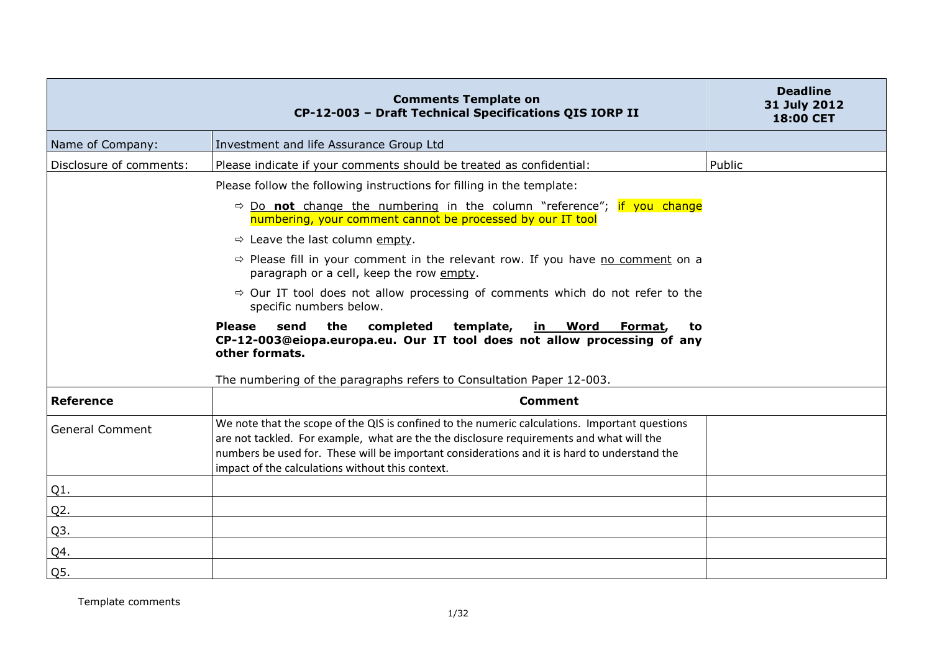|                         | <b>Comments Template on</b><br>CP-12-003 - Draft Technical Specifications QIS IORP II                                                                                                                                                                                                                                                          | <b>Deadline</b><br>31 July 2012<br><b>18:00 CET</b> |
|-------------------------|------------------------------------------------------------------------------------------------------------------------------------------------------------------------------------------------------------------------------------------------------------------------------------------------------------------------------------------------|-----------------------------------------------------|
| Name of Company:        | Investment and life Assurance Group Ltd                                                                                                                                                                                                                                                                                                        |                                                     |
| Disclosure of comments: | Please indicate if your comments should be treated as confidential:                                                                                                                                                                                                                                                                            | Public                                              |
|                         | Please follow the following instructions for filling in the template:                                                                                                                                                                                                                                                                          |                                                     |
|                         | $\Rightarrow$ Do not change the numbering in the column "reference"; if you change<br>numbering, your comment cannot be processed by our IT tool                                                                                                                                                                                               |                                                     |
|                         | $\Rightarrow$ Leave the last column empty.                                                                                                                                                                                                                                                                                                     |                                                     |
|                         | $\Rightarrow$ Please fill in your comment in the relevant row. If you have no comment on a<br>paragraph or a cell, keep the row empty.                                                                                                                                                                                                         |                                                     |
|                         | $\Rightarrow$ Our IT tool does not allow processing of comments which do not refer to the<br>specific numbers below.                                                                                                                                                                                                                           |                                                     |
|                         | the<br>completed<br>template,<br><b>Please</b><br>send<br>in Word<br>Format,<br>to<br>CP-12-003@eiopa.europa.eu. Our IT tool does not allow processing of any<br>other formats.                                                                                                                                                                |                                                     |
|                         | The numbering of the paragraphs refers to Consultation Paper 12-003.                                                                                                                                                                                                                                                                           |                                                     |
| <b>Reference</b>        | <b>Comment</b>                                                                                                                                                                                                                                                                                                                                 |                                                     |
| <b>General Comment</b>  | We note that the scope of the QIS is confined to the numeric calculations. Important questions<br>are not tackled. For example, what are the the disclosure requirements and what will the<br>numbers be used for. These will be important considerations and it is hard to understand the<br>impact of the calculations without this context. |                                                     |
| Q1.                     |                                                                                                                                                                                                                                                                                                                                                |                                                     |
| Q2.                     |                                                                                                                                                                                                                                                                                                                                                |                                                     |
| Q3.                     |                                                                                                                                                                                                                                                                                                                                                |                                                     |
| Q4.                     |                                                                                                                                                                                                                                                                                                                                                |                                                     |
| Q5.                     |                                                                                                                                                                                                                                                                                                                                                |                                                     |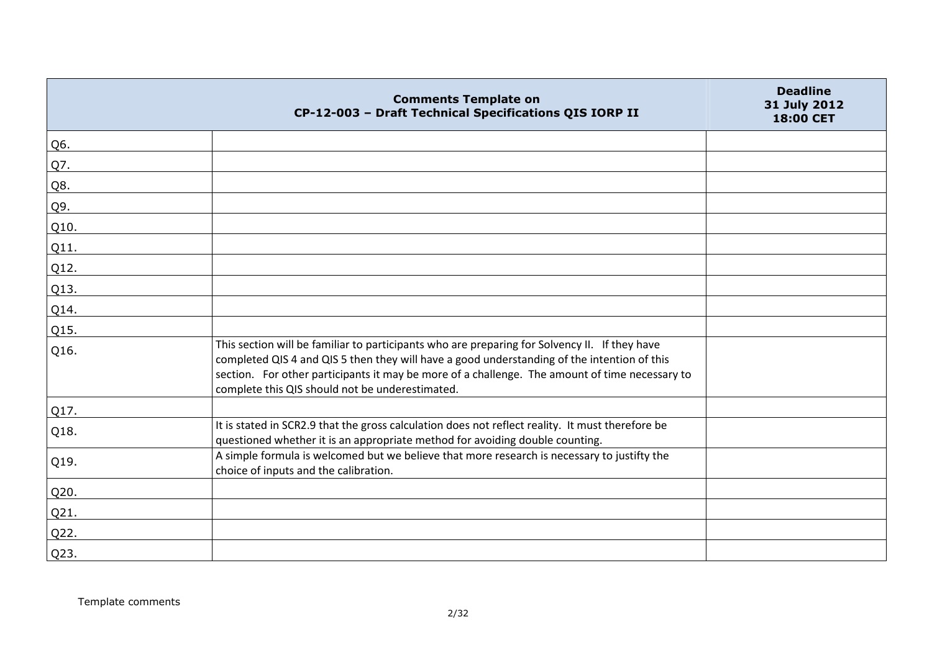|      | <b>Comments Template on</b><br>CP-12-003 - Draft Technical Specifications QIS IORP II                                                                                                                                                                                                                                                             | <b>Deadline</b><br>31 July 2012<br><b>18:00 CET</b> |
|------|---------------------------------------------------------------------------------------------------------------------------------------------------------------------------------------------------------------------------------------------------------------------------------------------------------------------------------------------------|-----------------------------------------------------|
| Q6.  |                                                                                                                                                                                                                                                                                                                                                   |                                                     |
| Q7.  |                                                                                                                                                                                                                                                                                                                                                   |                                                     |
| Q8.  |                                                                                                                                                                                                                                                                                                                                                   |                                                     |
| Q9.  |                                                                                                                                                                                                                                                                                                                                                   |                                                     |
| Q10. |                                                                                                                                                                                                                                                                                                                                                   |                                                     |
| Q11. |                                                                                                                                                                                                                                                                                                                                                   |                                                     |
| Q12. |                                                                                                                                                                                                                                                                                                                                                   |                                                     |
| Q13. |                                                                                                                                                                                                                                                                                                                                                   |                                                     |
| Q14. |                                                                                                                                                                                                                                                                                                                                                   |                                                     |
| Q15. |                                                                                                                                                                                                                                                                                                                                                   |                                                     |
| Q16. | This section will be familiar to participants who are preparing for Solvency II. If they have<br>completed QIS 4 and QIS 5 then they will have a good understanding of the intention of this<br>section. For other participants it may be more of a challenge. The amount of time necessary to<br>complete this QIS should not be underestimated. |                                                     |
| Q17. |                                                                                                                                                                                                                                                                                                                                                   |                                                     |
| Q18. | It is stated in SCR2.9 that the gross calculation does not reflect reality. It must therefore be<br>questioned whether it is an appropriate method for avoiding double counting.                                                                                                                                                                  |                                                     |
| Q19. | A simple formula is welcomed but we believe that more research is necessary to justifty the<br>choice of inputs and the calibration.                                                                                                                                                                                                              |                                                     |
| Q20. |                                                                                                                                                                                                                                                                                                                                                   |                                                     |
| Q21. |                                                                                                                                                                                                                                                                                                                                                   |                                                     |
| Q22. |                                                                                                                                                                                                                                                                                                                                                   |                                                     |
| Q23. |                                                                                                                                                                                                                                                                                                                                                   |                                                     |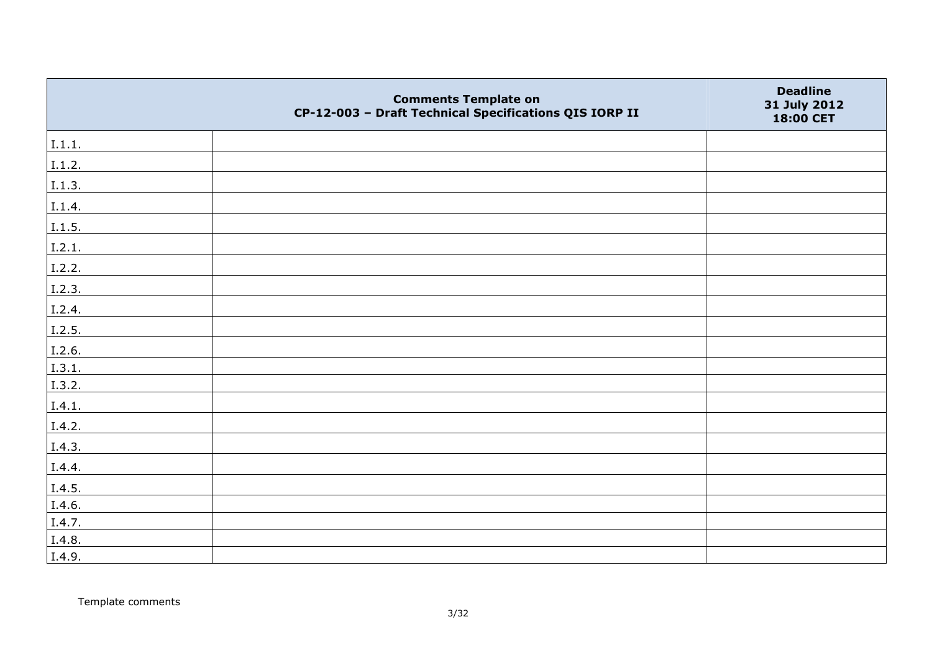|        | <b>Comments Template on</b><br>CP-12-003 - Draft Technical Specifications QIS IORP II | <b>Deadline</b><br>31 July 2012<br>18:00 CET |
|--------|---------------------------------------------------------------------------------------|----------------------------------------------|
| 1.1.1. |                                                                                       |                                              |
| I.1.2. |                                                                                       |                                              |
| I.1.3. |                                                                                       |                                              |
| I.1.4. |                                                                                       |                                              |
| I.1.5. |                                                                                       |                                              |
| 1.2.1. |                                                                                       |                                              |
| I.2.2. |                                                                                       |                                              |
| I.2.3. |                                                                                       |                                              |
| I.2.4. |                                                                                       |                                              |
| I.2.5. |                                                                                       |                                              |
| I.2.6. |                                                                                       |                                              |
| I.3.1. |                                                                                       |                                              |
| I.3.2. |                                                                                       |                                              |
| I.4.1. |                                                                                       |                                              |
| I.4.2. |                                                                                       |                                              |
| I.4.3. |                                                                                       |                                              |
| I.4.4. |                                                                                       |                                              |
| I.4.5. |                                                                                       |                                              |
| I.4.6. |                                                                                       |                                              |
| I.4.7. |                                                                                       |                                              |
| I.4.8. |                                                                                       |                                              |
| I.4.9. |                                                                                       |                                              |

Template comments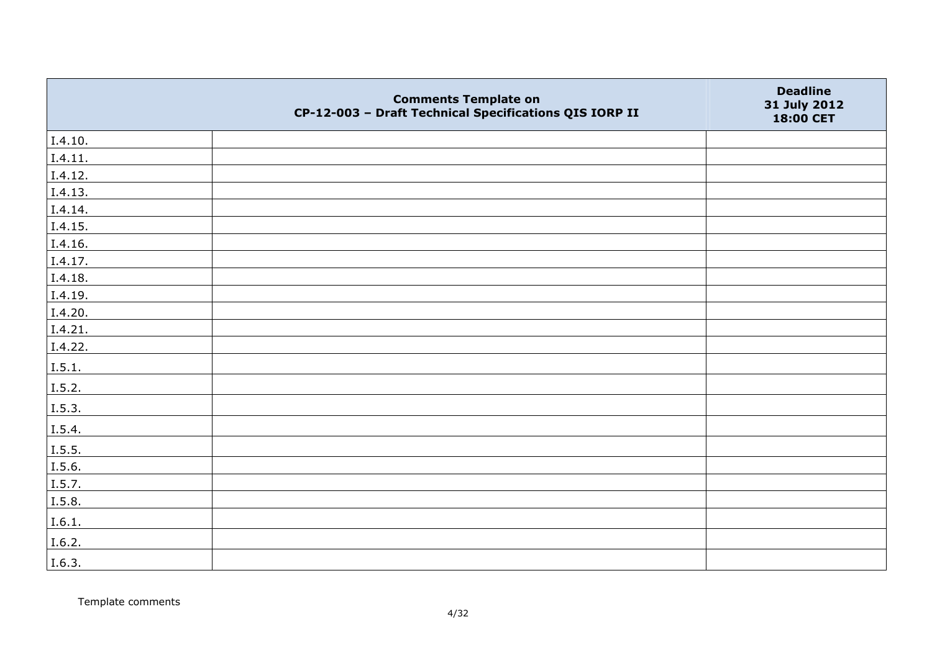|         | <b>Comments Template on</b><br>CP-12-003 - Draft Technical Specifications QIS IORP II | <b>Deadline</b><br>31 July 2012<br>18:00 CET |
|---------|---------------------------------------------------------------------------------------|----------------------------------------------|
| I.4.10. |                                                                                       |                                              |
| I.4.11. |                                                                                       |                                              |
| I.4.12. |                                                                                       |                                              |
| I.4.13. |                                                                                       |                                              |
| I.4.14. |                                                                                       |                                              |
| I.4.15. |                                                                                       |                                              |
| I.4.16. |                                                                                       |                                              |
| I.4.17. |                                                                                       |                                              |
| I.4.18. |                                                                                       |                                              |
| I.4.19. |                                                                                       |                                              |
| I.4.20. |                                                                                       |                                              |
| I.4.21. |                                                                                       |                                              |
| I.4.22. |                                                                                       |                                              |
| I.5.1.  |                                                                                       |                                              |
| I.5.2.  |                                                                                       |                                              |
| I.5.3.  |                                                                                       |                                              |
| I.5.4.  |                                                                                       |                                              |
| I.5.5.  |                                                                                       |                                              |
| I.5.6.  |                                                                                       |                                              |
| I.5.7.  |                                                                                       |                                              |
| I.5.8.  |                                                                                       |                                              |
| I.6.1.  |                                                                                       |                                              |
| I.6.2.  |                                                                                       |                                              |
| I.6.3.  |                                                                                       |                                              |

Template comments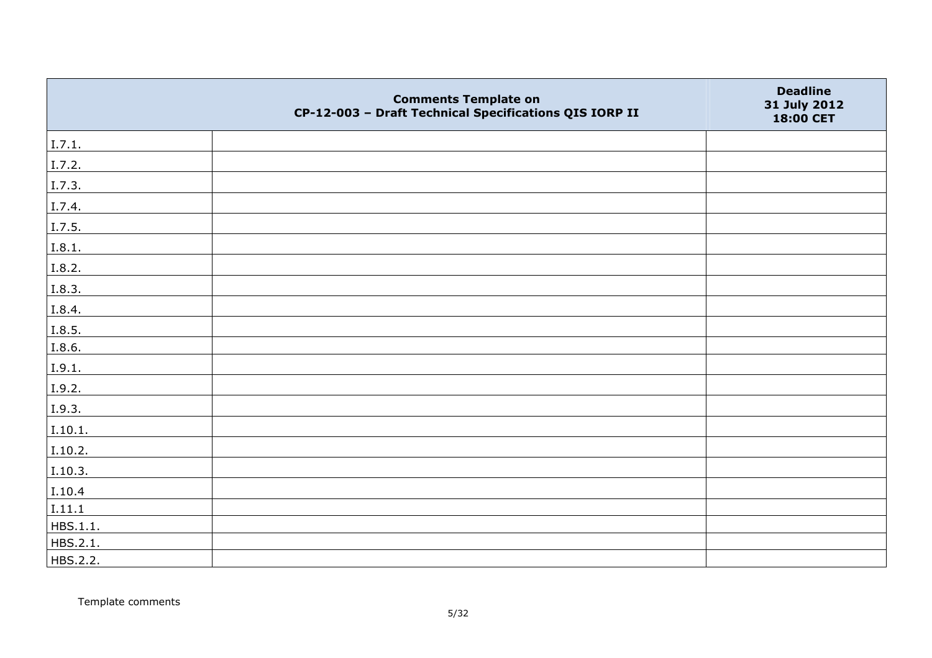|          | <b>Comments Template on</b><br>CP-12-003 - Draft Technical Specifications QIS IORP II | <b>Deadline</b><br>31 July 2012<br>18:00 CET |
|----------|---------------------------------------------------------------------------------------|----------------------------------------------|
| I.7.1.   |                                                                                       |                                              |
| I.7.2.   |                                                                                       |                                              |
| I.7.3.   |                                                                                       |                                              |
| I.7.4.   |                                                                                       |                                              |
| I.7.5.   |                                                                                       |                                              |
| I.8.1.   |                                                                                       |                                              |
| I.8.2.   |                                                                                       |                                              |
| I.8.3.   |                                                                                       |                                              |
| I.8.4.   |                                                                                       |                                              |
| I.8.5.   |                                                                                       |                                              |
| I.8.6.   |                                                                                       |                                              |
| I.9.1.   |                                                                                       |                                              |
| I.9.2.   |                                                                                       |                                              |
| I.9.3.   |                                                                                       |                                              |
| I.10.1.  |                                                                                       |                                              |
| I.10.2.  |                                                                                       |                                              |
| I.10.3.  |                                                                                       |                                              |
| I.10.4   |                                                                                       |                                              |
| I.11.1   |                                                                                       |                                              |
| HBS.1.1. |                                                                                       |                                              |
| HBS.2.1. |                                                                                       |                                              |
| HBS.2.2. |                                                                                       |                                              |

Template comments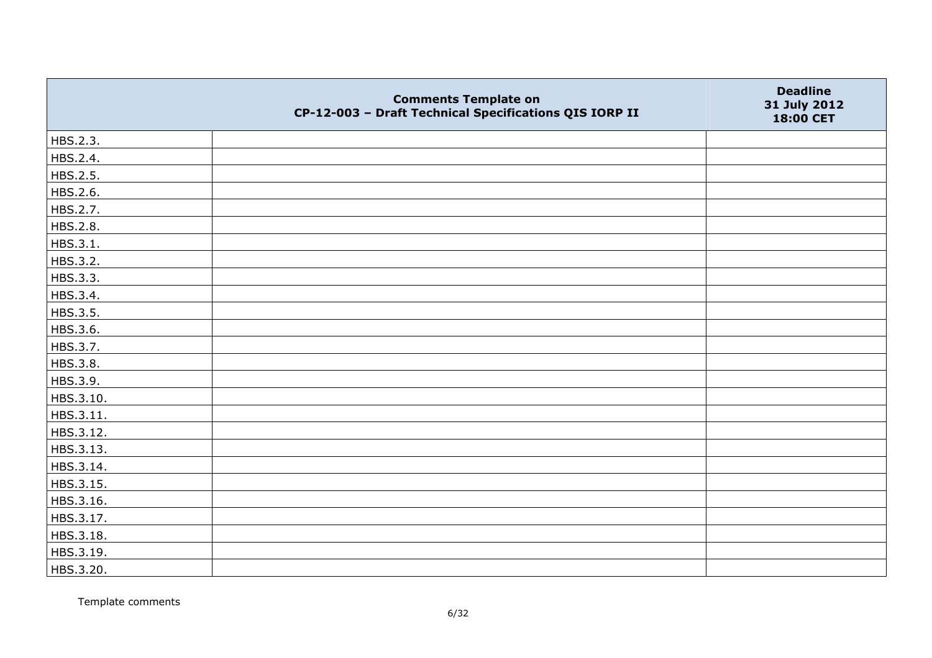|           | <b>Comments Template on</b><br>CP-12-003 - Draft Technical Specifications QIS IORP II | <b>Deadline</b><br>31 July 2012<br>18:00 CET |
|-----------|---------------------------------------------------------------------------------------|----------------------------------------------|
| HBS.2.3.  |                                                                                       |                                              |
| HBS.2.4.  |                                                                                       |                                              |
| HBS.2.5.  |                                                                                       |                                              |
| HBS.2.6.  |                                                                                       |                                              |
| HBS.2.7.  |                                                                                       |                                              |
| HBS.2.8.  |                                                                                       |                                              |
| HBS.3.1.  |                                                                                       |                                              |
| HBS.3.2.  |                                                                                       |                                              |
| HBS.3.3.  |                                                                                       |                                              |
| HBS.3.4.  |                                                                                       |                                              |
| HBS.3.5.  |                                                                                       |                                              |
| HBS.3.6.  |                                                                                       |                                              |
| HBS.3.7.  |                                                                                       |                                              |
| HBS.3.8.  |                                                                                       |                                              |
| HBS.3.9.  |                                                                                       |                                              |
| HBS.3.10. |                                                                                       |                                              |
| HBS.3.11. |                                                                                       |                                              |
| HBS.3.12. |                                                                                       |                                              |
| HBS.3.13. |                                                                                       |                                              |
| HBS.3.14. |                                                                                       |                                              |
| HBS.3.15. |                                                                                       |                                              |
| HBS.3.16. |                                                                                       |                                              |
| HBS.3.17. |                                                                                       |                                              |
| HBS.3.18. |                                                                                       |                                              |
| HBS.3.19. |                                                                                       |                                              |
| HBS.3.20. |                                                                                       |                                              |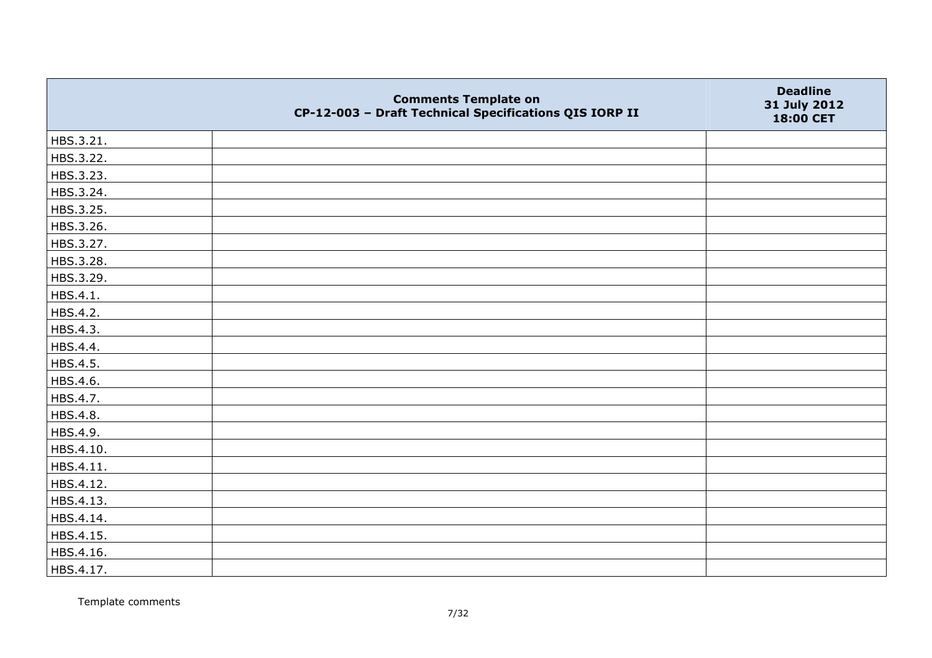|           | <b>Comments Template on</b><br>CP-12-003 - Draft Technical Specifications QIS IORP II | <b>Deadline</b><br>31 July 2012<br>18:00 CET |
|-----------|---------------------------------------------------------------------------------------|----------------------------------------------|
| HBS.3.21. |                                                                                       |                                              |
| HBS.3.22. |                                                                                       |                                              |
| HBS.3.23. |                                                                                       |                                              |
| HBS.3.24. |                                                                                       |                                              |
| HBS.3.25. |                                                                                       |                                              |
| HBS.3.26. |                                                                                       |                                              |
| HBS.3.27. |                                                                                       |                                              |
| HBS.3.28. |                                                                                       |                                              |
| HBS.3.29. |                                                                                       |                                              |
| HBS.4.1.  |                                                                                       |                                              |
| HBS.4.2.  |                                                                                       |                                              |
| HBS.4.3.  |                                                                                       |                                              |
| HBS.4.4.  |                                                                                       |                                              |
| HBS.4.5.  |                                                                                       |                                              |
| HBS.4.6.  |                                                                                       |                                              |
| HBS.4.7.  |                                                                                       |                                              |
| HBS.4.8.  |                                                                                       |                                              |
| HBS.4.9.  |                                                                                       |                                              |
| HBS.4.10. |                                                                                       |                                              |
| HBS.4.11. |                                                                                       |                                              |
| HBS.4.12. |                                                                                       |                                              |
| HBS.4.13. |                                                                                       |                                              |
| HBS.4.14. |                                                                                       |                                              |
| HBS.4.15. |                                                                                       |                                              |
| HBS.4.16. |                                                                                       |                                              |
| HBS.4.17. |                                                                                       |                                              |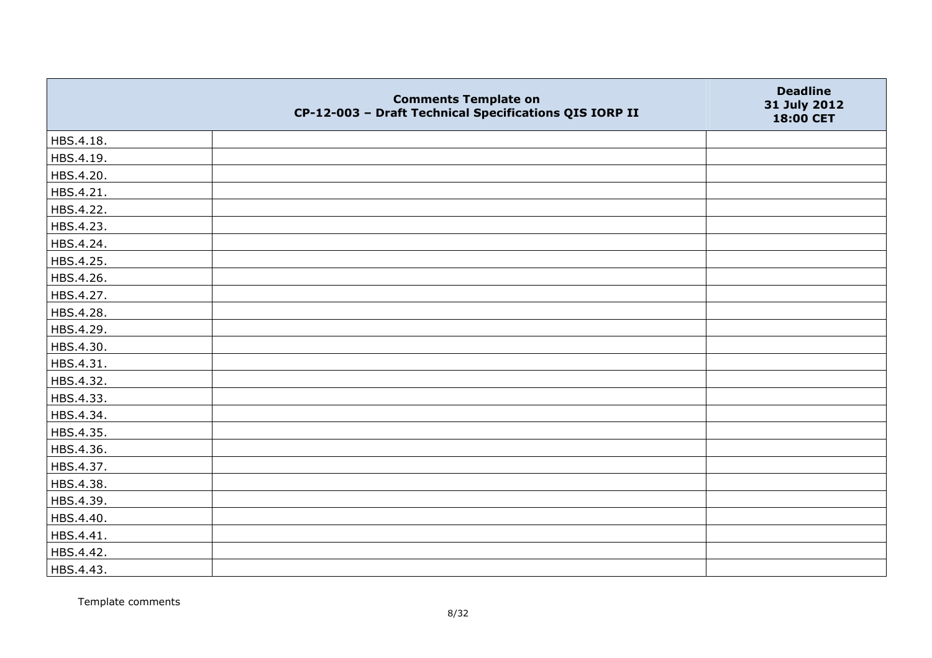|           | <b>Comments Template on</b><br>CP-12-003 - Draft Technical Specifications QIS IORP II | <b>Deadline</b><br>31 July 2012<br>18:00 CET |
|-----------|---------------------------------------------------------------------------------------|----------------------------------------------|
| HBS.4.18. |                                                                                       |                                              |
| HBS.4.19. |                                                                                       |                                              |
| HBS.4.20. |                                                                                       |                                              |
| HBS.4.21. |                                                                                       |                                              |
| HBS.4.22. |                                                                                       |                                              |
| HBS.4.23. |                                                                                       |                                              |
| HBS.4.24. |                                                                                       |                                              |
| HBS.4.25. |                                                                                       |                                              |
| HBS.4.26. |                                                                                       |                                              |
| HBS.4.27. |                                                                                       |                                              |
| HBS.4.28. |                                                                                       |                                              |
| HBS.4.29. |                                                                                       |                                              |
| HBS.4.30. |                                                                                       |                                              |
| HBS.4.31. |                                                                                       |                                              |
| HBS.4.32. |                                                                                       |                                              |
| HBS.4.33. |                                                                                       |                                              |
| HBS.4.34. |                                                                                       |                                              |
| HBS.4.35. |                                                                                       |                                              |
| HBS.4.36. |                                                                                       |                                              |
| HBS.4.37. |                                                                                       |                                              |
| HBS.4.38. |                                                                                       |                                              |
| HBS.4.39. |                                                                                       |                                              |
| HBS.4.40. |                                                                                       |                                              |
| HBS.4.41. |                                                                                       |                                              |
| HBS.4.42. |                                                                                       |                                              |
| HBS.4.43. |                                                                                       |                                              |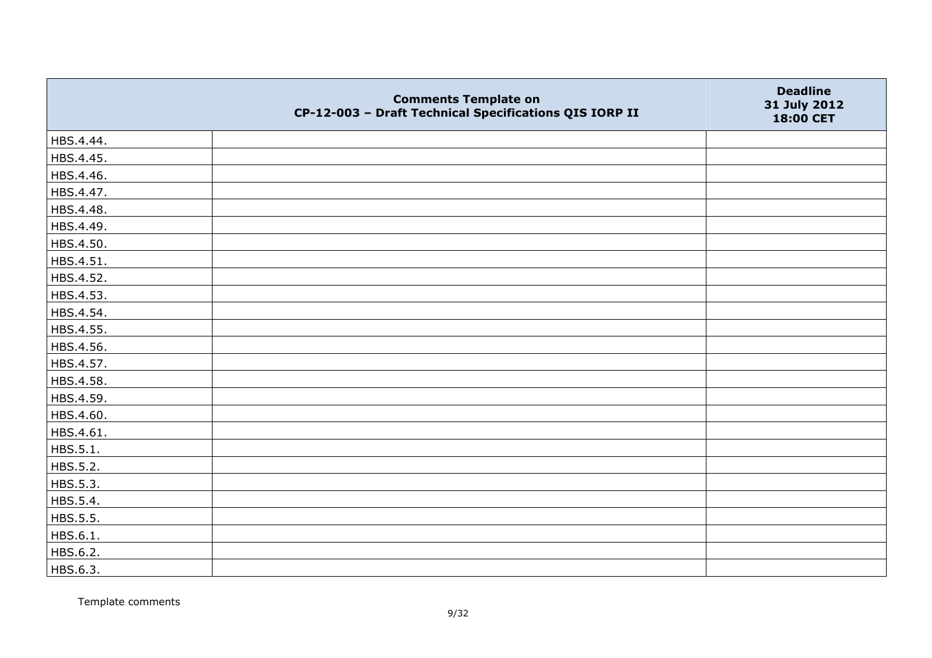|           | <b>Comments Template on</b><br>CP-12-003 - Draft Technical Specifications QIS IORP II | <b>Deadline</b><br>31 July 2012<br>18:00 CET |
|-----------|---------------------------------------------------------------------------------------|----------------------------------------------|
| HBS.4.44. |                                                                                       |                                              |
| HBS.4.45. |                                                                                       |                                              |
| HBS.4.46. |                                                                                       |                                              |
| HBS.4.47. |                                                                                       |                                              |
| HBS.4.48. |                                                                                       |                                              |
| HBS.4.49. |                                                                                       |                                              |
| HBS.4.50. |                                                                                       |                                              |
| HBS.4.51. |                                                                                       |                                              |
| HBS.4.52. |                                                                                       |                                              |
| HBS.4.53. |                                                                                       |                                              |
| HBS.4.54. |                                                                                       |                                              |
| HBS.4.55. |                                                                                       |                                              |
| HBS.4.56. |                                                                                       |                                              |
| HBS.4.57. |                                                                                       |                                              |
| HBS.4.58. |                                                                                       |                                              |
| HBS.4.59. |                                                                                       |                                              |
| HBS.4.60. |                                                                                       |                                              |
| HBS.4.61. |                                                                                       |                                              |
| HBS.5.1.  |                                                                                       |                                              |
| HBS.5.2.  |                                                                                       |                                              |
| HBS.5.3.  |                                                                                       |                                              |
| HBS.5.4.  |                                                                                       |                                              |
| HBS.5.5.  |                                                                                       |                                              |
| HBS.6.1.  |                                                                                       |                                              |
| HBS.6.2.  |                                                                                       |                                              |
| HBS.6.3.  |                                                                                       |                                              |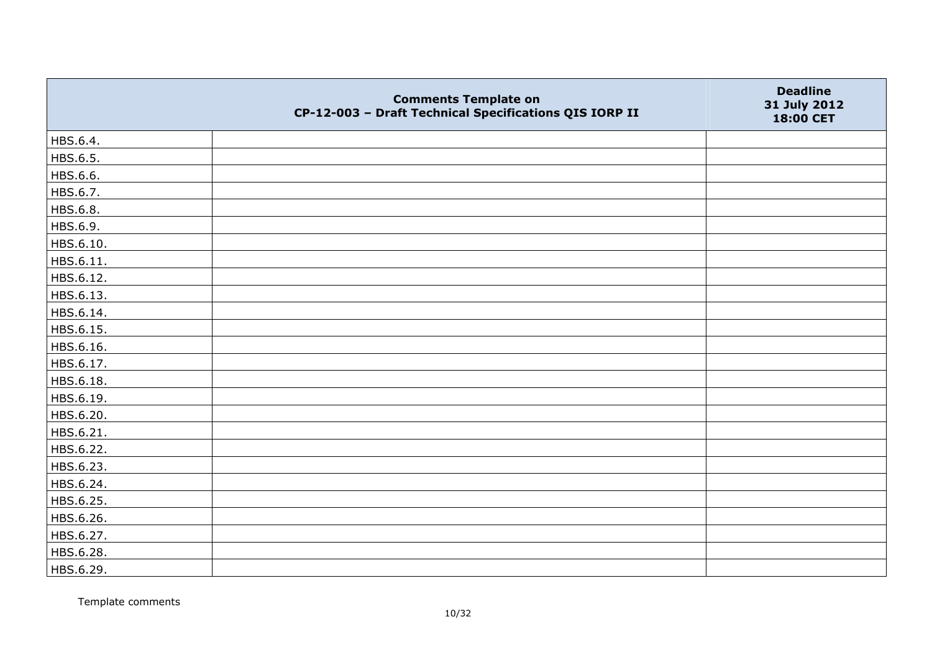|           | <b>Comments Template on</b><br>CP-12-003 - Draft Technical Specifications QIS IORP II | <b>Deadline</b><br>31 July 2012<br>18:00 CET |
|-----------|---------------------------------------------------------------------------------------|----------------------------------------------|
| HBS.6.4.  |                                                                                       |                                              |
| HBS.6.5.  |                                                                                       |                                              |
| HBS.6.6.  |                                                                                       |                                              |
| HBS.6.7.  |                                                                                       |                                              |
| HBS.6.8.  |                                                                                       |                                              |
| HBS.6.9.  |                                                                                       |                                              |
| HBS.6.10. |                                                                                       |                                              |
| HBS.6.11. |                                                                                       |                                              |
| HBS.6.12. |                                                                                       |                                              |
| HBS.6.13. |                                                                                       |                                              |
| HBS.6.14. |                                                                                       |                                              |
| HBS.6.15. |                                                                                       |                                              |
| HBS.6.16. |                                                                                       |                                              |
| HBS.6.17. |                                                                                       |                                              |
| HBS.6.18. |                                                                                       |                                              |
| HBS.6.19. |                                                                                       |                                              |
| HBS.6.20. |                                                                                       |                                              |
| HBS.6.21. |                                                                                       |                                              |
| HBS.6.22. |                                                                                       |                                              |
| HBS.6.23. |                                                                                       |                                              |
| HBS.6.24. |                                                                                       |                                              |
| HBS.6.25. |                                                                                       |                                              |
| HBS.6.26. |                                                                                       |                                              |
| HBS.6.27. |                                                                                       |                                              |
| HBS.6.28. |                                                                                       |                                              |
| HBS.6.29. |                                                                                       |                                              |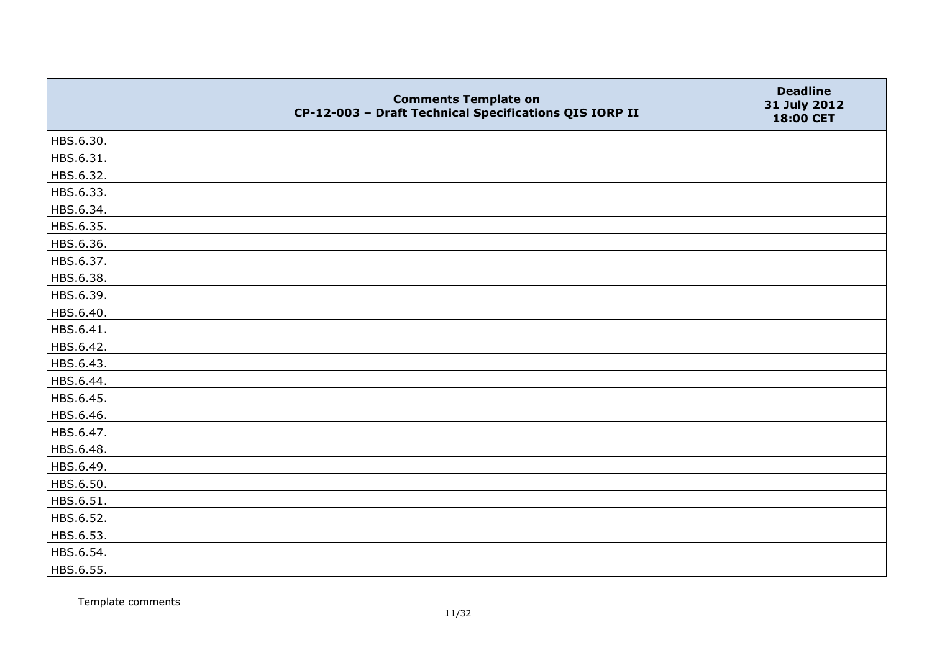|           | <b>Comments Template on</b><br>CP-12-003 - Draft Technical Specifications QIS IORP II | <b>Deadline</b><br>31 July 2012<br>18:00 CET |
|-----------|---------------------------------------------------------------------------------------|----------------------------------------------|
| HBS.6.30. |                                                                                       |                                              |
| HBS.6.31. |                                                                                       |                                              |
| HBS.6.32. |                                                                                       |                                              |
| HBS.6.33. |                                                                                       |                                              |
| HBS.6.34. |                                                                                       |                                              |
| HBS.6.35. |                                                                                       |                                              |
| HBS.6.36. |                                                                                       |                                              |
| HBS.6.37. |                                                                                       |                                              |
| HBS.6.38. |                                                                                       |                                              |
| HBS.6.39. |                                                                                       |                                              |
| HBS.6.40. |                                                                                       |                                              |
| HBS.6.41. |                                                                                       |                                              |
| HBS.6.42. |                                                                                       |                                              |
| HBS.6.43. |                                                                                       |                                              |
| HBS.6.44. |                                                                                       |                                              |
| HBS.6.45. |                                                                                       |                                              |
| HBS.6.46. |                                                                                       |                                              |
| HBS.6.47. |                                                                                       |                                              |
| HBS.6.48. |                                                                                       |                                              |
| HBS.6.49. |                                                                                       |                                              |
| HBS.6.50. |                                                                                       |                                              |
| HBS.6.51. |                                                                                       |                                              |
| HBS.6.52. |                                                                                       |                                              |
| HBS.6.53. |                                                                                       |                                              |
| HBS.6.54. |                                                                                       |                                              |
| HBS.6.55. |                                                                                       |                                              |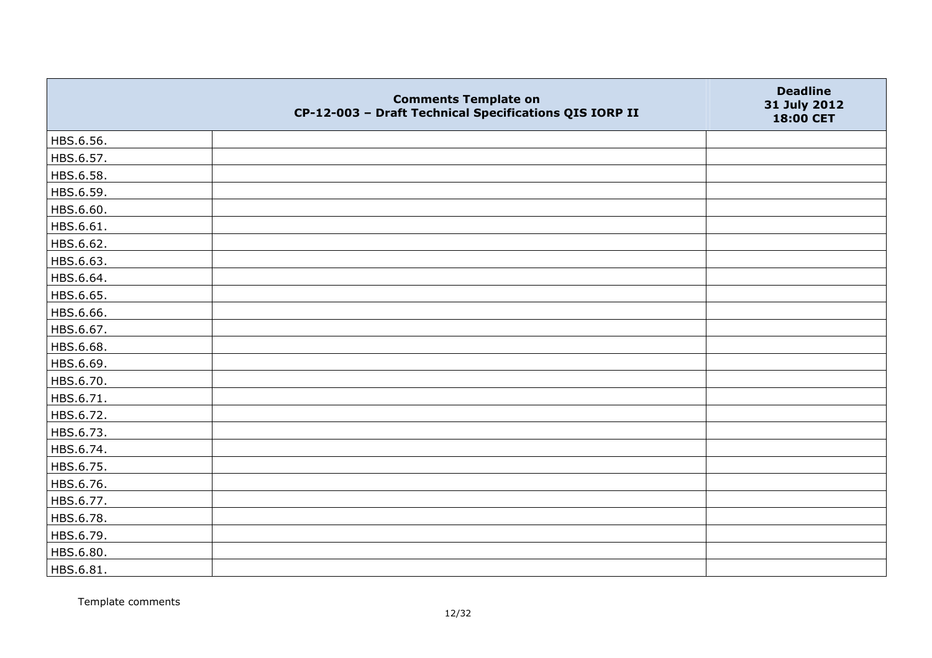|           | <b>Comments Template on</b><br>CP-12-003 - Draft Technical Specifications QIS IORP II | <b>Deadline</b><br>31 July 2012<br>18:00 CET |
|-----------|---------------------------------------------------------------------------------------|----------------------------------------------|
| HBS.6.56. |                                                                                       |                                              |
| HBS.6.57. |                                                                                       |                                              |
| HBS.6.58. |                                                                                       |                                              |
| HBS.6.59. |                                                                                       |                                              |
| HBS.6.60. |                                                                                       |                                              |
| HBS.6.61. |                                                                                       |                                              |
| HBS.6.62. |                                                                                       |                                              |
| HBS.6.63. |                                                                                       |                                              |
| HBS.6.64. |                                                                                       |                                              |
| HBS.6.65. |                                                                                       |                                              |
| HBS.6.66. |                                                                                       |                                              |
| HBS.6.67. |                                                                                       |                                              |
| HBS.6.68. |                                                                                       |                                              |
| HBS.6.69. |                                                                                       |                                              |
| HBS.6.70. |                                                                                       |                                              |
| HBS.6.71. |                                                                                       |                                              |
| HBS.6.72. |                                                                                       |                                              |
| HBS.6.73. |                                                                                       |                                              |
| HBS.6.74. |                                                                                       |                                              |
| HBS.6.75. |                                                                                       |                                              |
| HBS.6.76. |                                                                                       |                                              |
| HBS.6.77. |                                                                                       |                                              |
| HBS.6.78. |                                                                                       |                                              |
| HBS.6.79. |                                                                                       |                                              |
| HBS.6.80. |                                                                                       |                                              |
| HBS.6.81. |                                                                                       |                                              |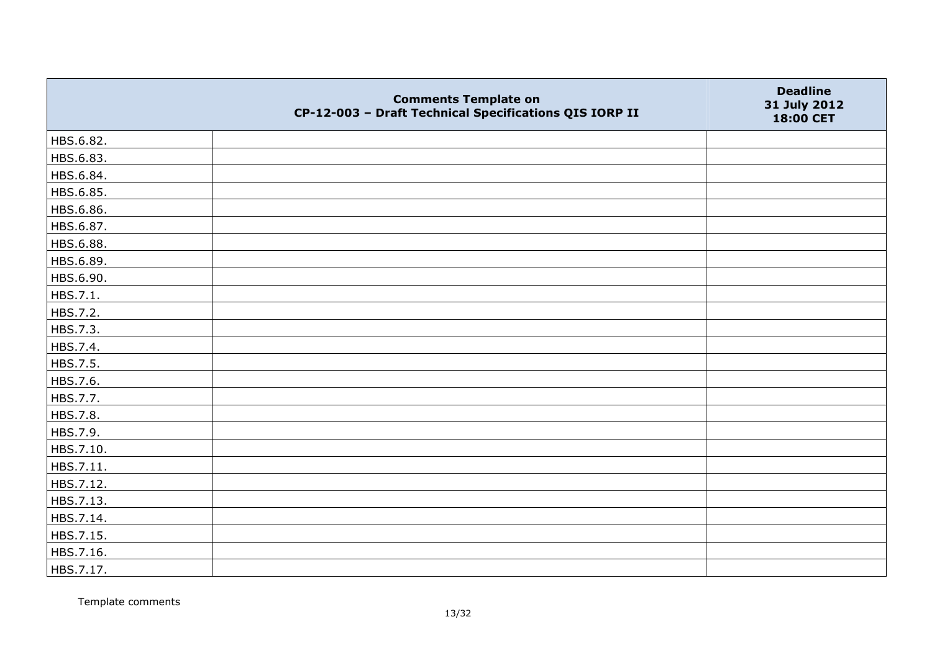|           | <b>Comments Template on</b><br>CP-12-003 - Draft Technical Specifications QIS IORP II | <b>Deadline</b><br>31 July 2012<br>18:00 CET |
|-----------|---------------------------------------------------------------------------------------|----------------------------------------------|
| HBS.6.82. |                                                                                       |                                              |
| HBS.6.83. |                                                                                       |                                              |
| HBS.6.84. |                                                                                       |                                              |
| HBS.6.85. |                                                                                       |                                              |
| HBS.6.86. |                                                                                       |                                              |
| HBS.6.87. |                                                                                       |                                              |
| HBS.6.88. |                                                                                       |                                              |
| HBS.6.89. |                                                                                       |                                              |
| HBS.6.90. |                                                                                       |                                              |
| HBS.7.1.  |                                                                                       |                                              |
| HBS.7.2.  |                                                                                       |                                              |
| HBS.7.3.  |                                                                                       |                                              |
| HBS.7.4.  |                                                                                       |                                              |
| HBS.7.5.  |                                                                                       |                                              |
| HBS.7.6.  |                                                                                       |                                              |
| HBS.7.7.  |                                                                                       |                                              |
| HBS.7.8.  |                                                                                       |                                              |
| HBS.7.9.  |                                                                                       |                                              |
| HBS.7.10. |                                                                                       |                                              |
| HBS.7.11. |                                                                                       |                                              |
| HBS.7.12. |                                                                                       |                                              |
| HBS.7.13. |                                                                                       |                                              |
| HBS.7.14. |                                                                                       |                                              |
| HBS.7.15. |                                                                                       |                                              |
| HBS.7.16. |                                                                                       |                                              |
| HBS.7.17. |                                                                                       |                                              |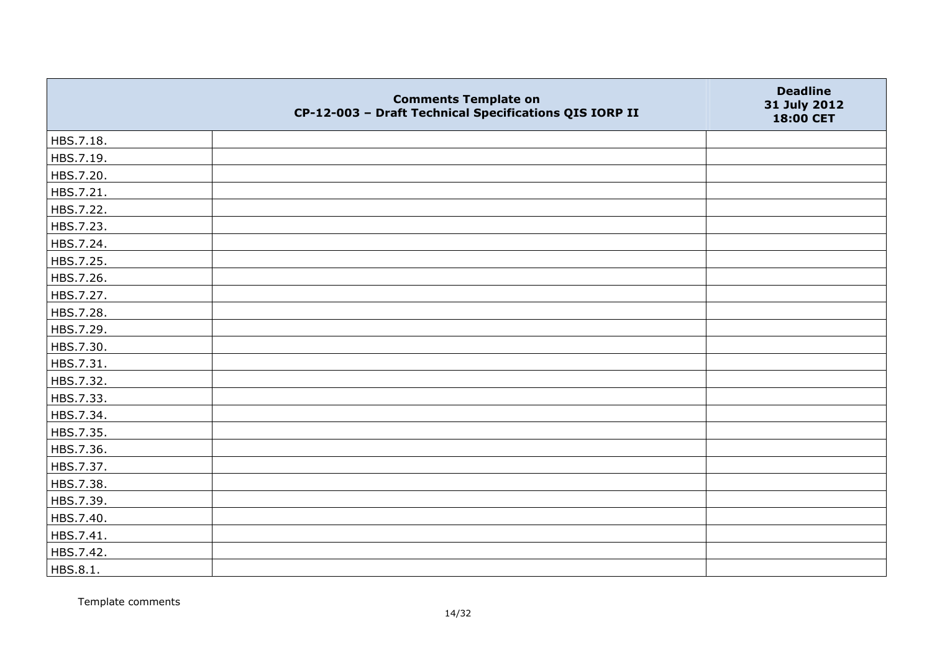|           | <b>Comments Template on</b><br>CP-12-003 - Draft Technical Specifications QIS IORP II | <b>Deadline</b><br>31 July 2012<br>18:00 CET |
|-----------|---------------------------------------------------------------------------------------|----------------------------------------------|
| HBS.7.18. |                                                                                       |                                              |
| HBS.7.19. |                                                                                       |                                              |
| HBS.7.20. |                                                                                       |                                              |
| HBS.7.21. |                                                                                       |                                              |
| HBS.7.22. |                                                                                       |                                              |
| HBS.7.23. |                                                                                       |                                              |
| HBS.7.24. |                                                                                       |                                              |
| HBS.7.25. |                                                                                       |                                              |
| HBS.7.26. |                                                                                       |                                              |
| HBS.7.27. |                                                                                       |                                              |
| HBS.7.28. |                                                                                       |                                              |
| HBS.7.29. |                                                                                       |                                              |
| HBS.7.30. |                                                                                       |                                              |
| HBS.7.31. |                                                                                       |                                              |
| HBS.7.32. |                                                                                       |                                              |
| HBS.7.33. |                                                                                       |                                              |
| HBS.7.34. |                                                                                       |                                              |
| HBS.7.35. |                                                                                       |                                              |
| HBS.7.36. |                                                                                       |                                              |
| HBS.7.37. |                                                                                       |                                              |
| HBS.7.38. |                                                                                       |                                              |
| HBS.7.39. |                                                                                       |                                              |
| HBS.7.40. |                                                                                       |                                              |
| HBS.7.41. |                                                                                       |                                              |
| HBS.7.42. |                                                                                       |                                              |
| HBS.8.1.  |                                                                                       |                                              |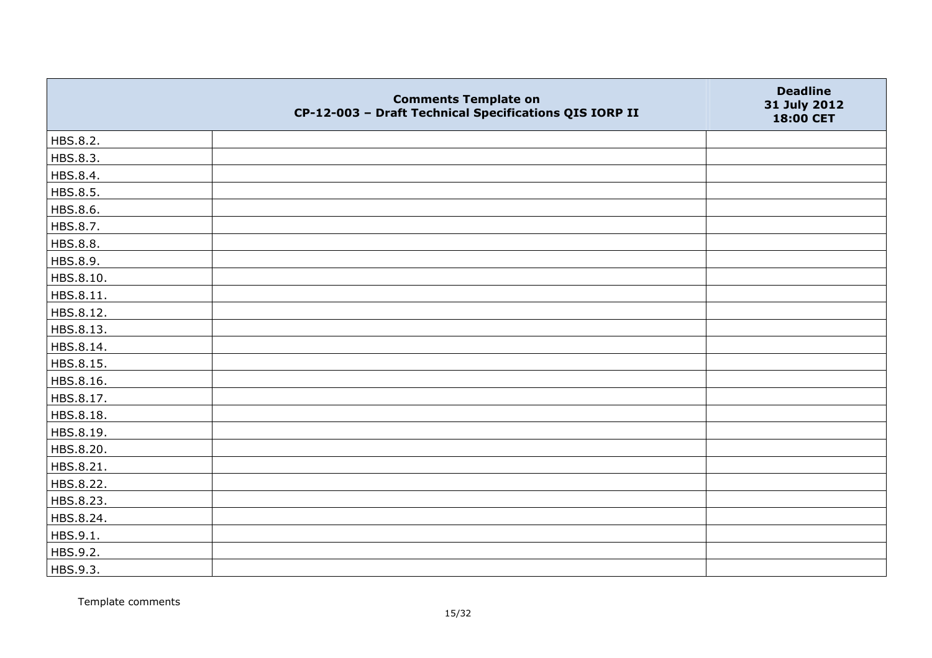|           | <b>Comments Template on</b><br>CP-12-003 - Draft Technical Specifications QIS IORP II | <b>Deadline</b><br>31 July 2012<br>18:00 CET |
|-----------|---------------------------------------------------------------------------------------|----------------------------------------------|
| HBS.8.2.  |                                                                                       |                                              |
| HBS.8.3.  |                                                                                       |                                              |
| HBS.8.4.  |                                                                                       |                                              |
| HBS.8.5.  |                                                                                       |                                              |
| HBS.8.6.  |                                                                                       |                                              |
| HBS.8.7.  |                                                                                       |                                              |
| HBS.8.8.  |                                                                                       |                                              |
| HBS.8.9.  |                                                                                       |                                              |
| HBS.8.10. |                                                                                       |                                              |
| HBS.8.11. |                                                                                       |                                              |
| HBS.8.12. |                                                                                       |                                              |
| HBS.8.13. |                                                                                       |                                              |
| HBS.8.14. |                                                                                       |                                              |
| HBS.8.15. |                                                                                       |                                              |
| HBS.8.16. |                                                                                       |                                              |
| HBS.8.17. |                                                                                       |                                              |
| HBS.8.18. |                                                                                       |                                              |
| HBS.8.19. |                                                                                       |                                              |
| HBS.8.20. |                                                                                       |                                              |
| HBS.8.21. |                                                                                       |                                              |
| HBS.8.22. |                                                                                       |                                              |
| HBS.8.23. |                                                                                       |                                              |
| HBS.8.24. |                                                                                       |                                              |
| HBS.9.1.  |                                                                                       |                                              |
| HBS.9.2.  |                                                                                       |                                              |
| HBS.9.3.  |                                                                                       |                                              |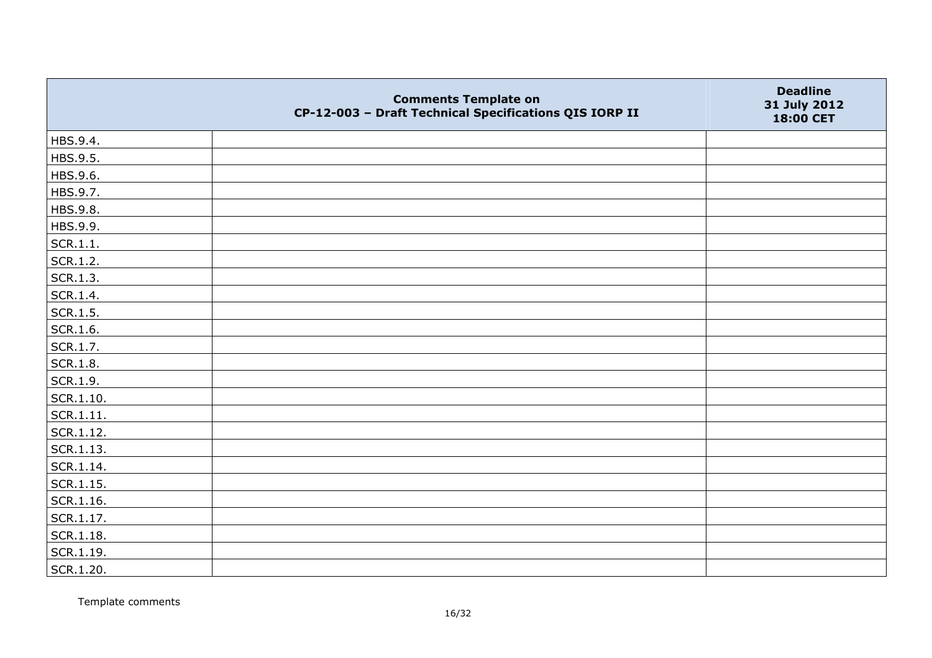|               | <b>Comments Template on</b><br>CP-12-003 - Draft Technical Specifications QIS IORP II | <b>Deadline</b><br>31 July 2012<br>18:00 CET |
|---------------|---------------------------------------------------------------------------------------|----------------------------------------------|
| HBS.9.4.      |                                                                                       |                                              |
| HBS.9.5.      |                                                                                       |                                              |
| HBS.9.6.      |                                                                                       |                                              |
| HBS.9.7.      |                                                                                       |                                              |
| HBS.9.8.      |                                                                                       |                                              |
| HBS.9.9.      |                                                                                       |                                              |
| SCR.1.1.      |                                                                                       |                                              |
| SCR.1.2.      |                                                                                       |                                              |
| SCR.1.3.      |                                                                                       |                                              |
| SCR.1.4.      |                                                                                       |                                              |
| SCR.1.5.      |                                                                                       |                                              |
| SCR.1.6.      |                                                                                       |                                              |
| SCR.1.7.      |                                                                                       |                                              |
| SCR.1.8.      |                                                                                       |                                              |
| SCR.1.9.      |                                                                                       |                                              |
| SCR.1.10.     |                                                                                       |                                              |
| SCR.1.11.     |                                                                                       |                                              |
| SCR.1.12.     |                                                                                       |                                              |
| SCR.1.13.     |                                                                                       |                                              |
| SCR.1.14.     |                                                                                       |                                              |
| $ $ SCR.1.15. |                                                                                       |                                              |
| SCR.1.16.     |                                                                                       |                                              |
| SCR.1.17.     |                                                                                       |                                              |
| SCR.1.18.     |                                                                                       |                                              |
| SCR.1.19.     |                                                                                       |                                              |
| SCR.1.20.     |                                                                                       |                                              |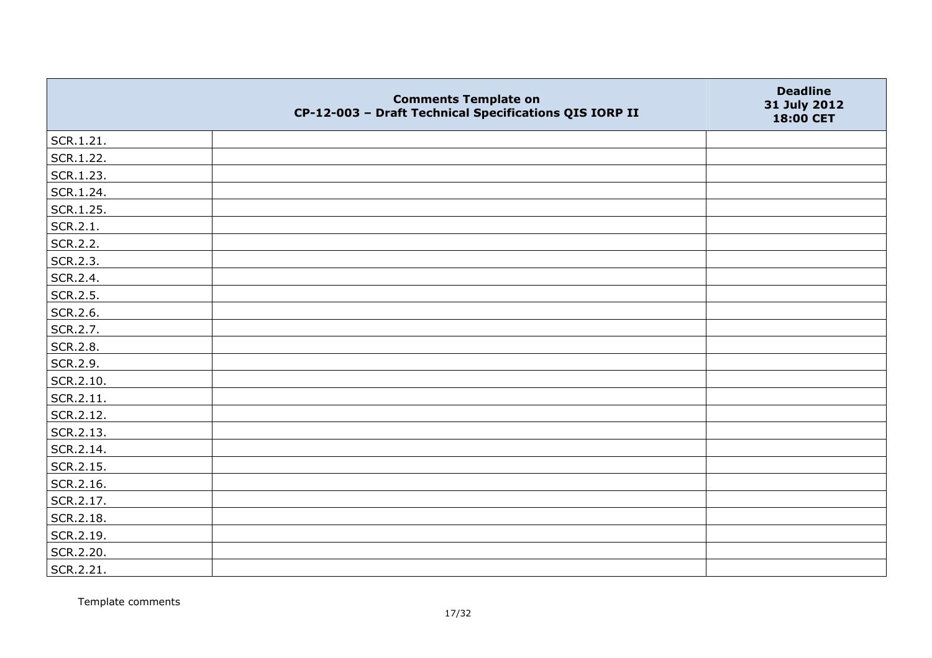|           | <b>Comments Template on</b><br>CP-12-003 - Draft Technical Specifications QIS IORP II | <b>Deadline</b><br>31 July 2012<br>18:00 CET |
|-----------|---------------------------------------------------------------------------------------|----------------------------------------------|
| SCR.1.21. |                                                                                       |                                              |
| SCR.1.22. |                                                                                       |                                              |
| SCR.1.23. |                                                                                       |                                              |
| SCR.1.24. |                                                                                       |                                              |
| SCR.1.25. |                                                                                       |                                              |
| SCR.2.1.  |                                                                                       |                                              |
| SCR.2.2.  |                                                                                       |                                              |
| SCR.2.3.  |                                                                                       |                                              |
| SCR.2.4.  |                                                                                       |                                              |
| SCR.2.5.  |                                                                                       |                                              |
| SCR.2.6.  |                                                                                       |                                              |
| SCR.2.7.  |                                                                                       |                                              |
| SCR.2.8.  |                                                                                       |                                              |
| SCR.2.9.  |                                                                                       |                                              |
| SCR.2.10. |                                                                                       |                                              |
| SCR.2.11. |                                                                                       |                                              |
| SCR.2.12. |                                                                                       |                                              |
| SCR.2.13. |                                                                                       |                                              |
| SCR.2.14. |                                                                                       |                                              |
| SCR.2.15. |                                                                                       |                                              |
| SCR.2.16. |                                                                                       |                                              |
| SCR.2.17. |                                                                                       |                                              |
| SCR.2.18. |                                                                                       |                                              |
| SCR.2.19. |                                                                                       |                                              |
| SCR.2.20. |                                                                                       |                                              |
| SCR.2.21. |                                                                                       |                                              |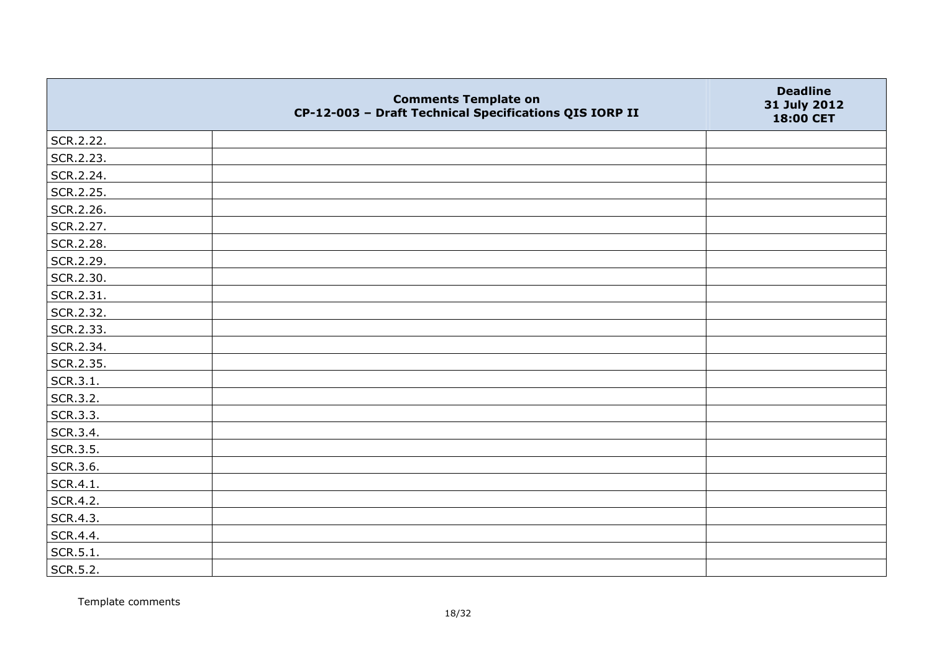|           | <b>Comments Template on</b><br>CP-12-003 - Draft Technical Specifications QIS IORP II | <b>Deadline</b><br>31 July 2012<br>18:00 CET |
|-----------|---------------------------------------------------------------------------------------|----------------------------------------------|
| SCR.2.22. |                                                                                       |                                              |
| SCR.2.23. |                                                                                       |                                              |
| SCR.2.24. |                                                                                       |                                              |
| SCR.2.25. |                                                                                       |                                              |
| SCR.2.26. |                                                                                       |                                              |
| SCR.2.27. |                                                                                       |                                              |
| SCR.2.28. |                                                                                       |                                              |
| SCR.2.29. |                                                                                       |                                              |
| SCR.2.30. |                                                                                       |                                              |
| SCR.2.31. |                                                                                       |                                              |
| SCR.2.32. |                                                                                       |                                              |
| SCR.2.33. |                                                                                       |                                              |
| SCR.2.34. |                                                                                       |                                              |
| SCR.2.35. |                                                                                       |                                              |
| SCR.3.1.  |                                                                                       |                                              |
| SCR.3.2.  |                                                                                       |                                              |
| SCR.3.3.  |                                                                                       |                                              |
| SCR.3.4.  |                                                                                       |                                              |
| SCR.3.5.  |                                                                                       |                                              |
| SCR.3.6.  |                                                                                       |                                              |
| SCR.4.1.  |                                                                                       |                                              |
| SCR.4.2.  |                                                                                       |                                              |
| SCR.4.3.  |                                                                                       |                                              |
| SCR.4.4.  |                                                                                       |                                              |
| SCR.5.1.  |                                                                                       |                                              |
| SCR.5.2.  |                                                                                       |                                              |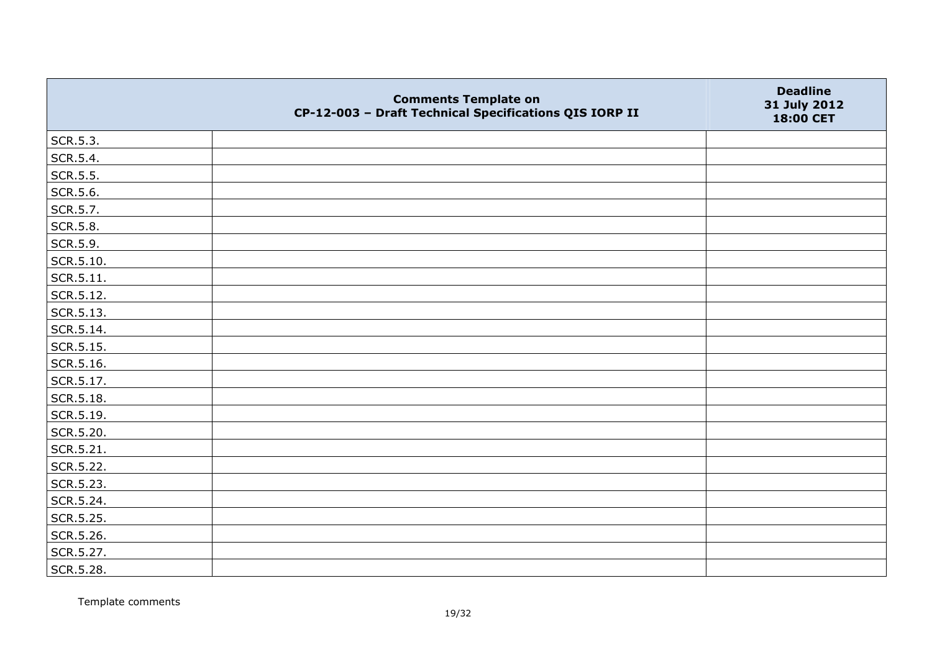|                   | <b>Comments Template on</b><br>CP-12-003 - Draft Technical Specifications QIS IORP II | <b>Deadline</b><br>31 July 2012<br>18:00 CET |
|-------------------|---------------------------------------------------------------------------------------|----------------------------------------------|
| SCR.5.3.          |                                                                                       |                                              |
| SCR.5.4.          |                                                                                       |                                              |
| SCR.5.5.          |                                                                                       |                                              |
| SCR.5.6.          |                                                                                       |                                              |
| SCR.5.7.          |                                                                                       |                                              |
| SCR.5.8.          |                                                                                       |                                              |
| SCR.5.9.          |                                                                                       |                                              |
| SCR.5.10.         |                                                                                       |                                              |
| $\vert$ SCR.5.11. |                                                                                       |                                              |
| SCR.5.12.         |                                                                                       |                                              |
| $\vert$ SCR.5.13. |                                                                                       |                                              |
| SCR.5.14.         |                                                                                       |                                              |
| SCR.5.15.         |                                                                                       |                                              |
| SCR.5.16.         |                                                                                       |                                              |
| SCR.5.17.         |                                                                                       |                                              |
| SCR.5.18.         |                                                                                       |                                              |
| SCR.5.19.         |                                                                                       |                                              |
| SCR.5.20.         |                                                                                       |                                              |
| SCR.5.21.         |                                                                                       |                                              |
| SCR.5.22.         |                                                                                       |                                              |
| SCR.5.23.         |                                                                                       |                                              |
| SCR.5.24.         |                                                                                       |                                              |
| SCR.5.25.         |                                                                                       |                                              |
| SCR.5.26.         |                                                                                       |                                              |
| SCR.5.27.         |                                                                                       |                                              |
| SCR.5.28.         |                                                                                       |                                              |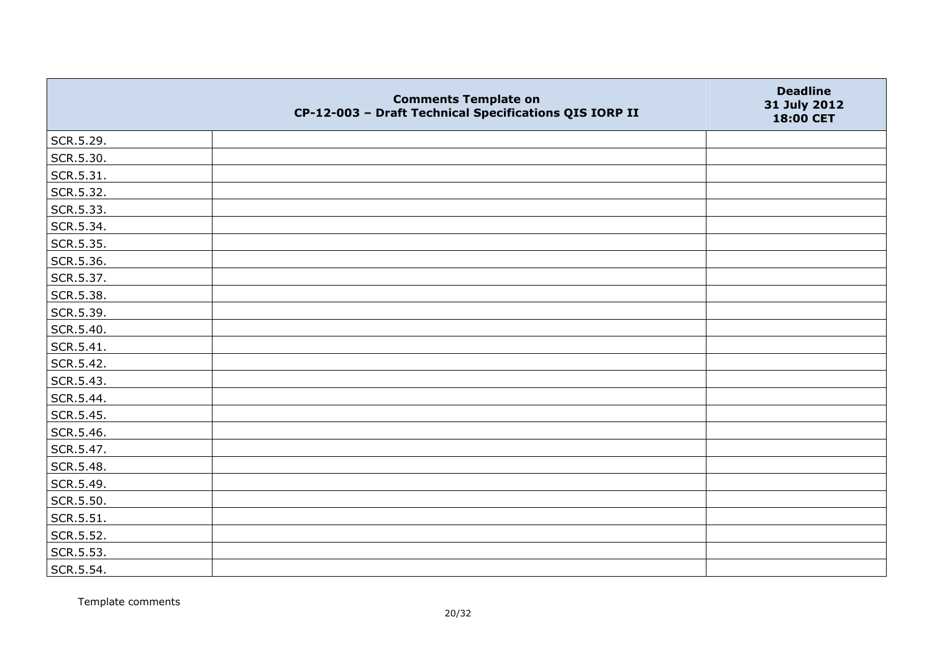|           | <b>Comments Template on</b><br>CP-12-003 - Draft Technical Specifications QIS IORP II | <b>Deadline</b><br>31 July 2012<br>18:00 CET |
|-----------|---------------------------------------------------------------------------------------|----------------------------------------------|
| SCR.5.29. |                                                                                       |                                              |
| SCR.5.30. |                                                                                       |                                              |
| SCR.5.31. |                                                                                       |                                              |
| SCR.5.32. |                                                                                       |                                              |
| SCR.5.33. |                                                                                       |                                              |
| SCR.5.34. |                                                                                       |                                              |
| SCR.5.35. |                                                                                       |                                              |
| SCR.5.36. |                                                                                       |                                              |
| SCR.5.37. |                                                                                       |                                              |
| SCR.5.38. |                                                                                       |                                              |
| SCR.5.39. |                                                                                       |                                              |
| SCR.5.40. |                                                                                       |                                              |
| SCR.5.41. |                                                                                       |                                              |
| SCR.5.42. |                                                                                       |                                              |
| SCR.5.43. |                                                                                       |                                              |
| SCR.5.44. |                                                                                       |                                              |
| SCR.5.45. |                                                                                       |                                              |
| SCR.5.46. |                                                                                       |                                              |
| SCR.5.47. |                                                                                       |                                              |
| SCR.5.48. |                                                                                       |                                              |
| SCR.5.49. |                                                                                       |                                              |
| SCR.5.50. |                                                                                       |                                              |
| SCR.5.51. |                                                                                       |                                              |
| SCR.5.52. |                                                                                       |                                              |
| SCR.5.53. |                                                                                       |                                              |
| SCR.5.54. |                                                                                       |                                              |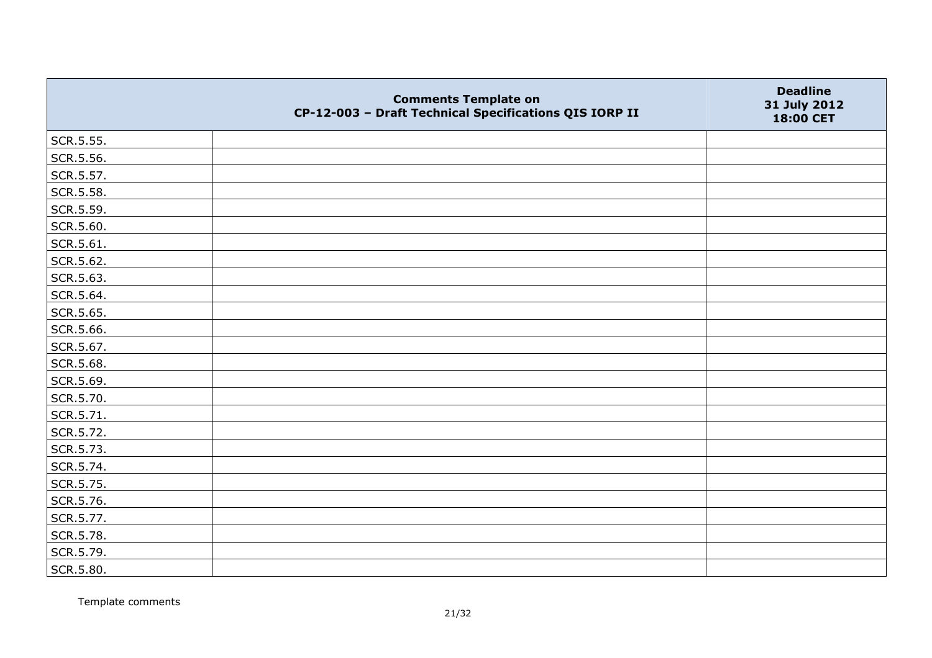|           | <b>Comments Template on</b><br>CP-12-003 - Draft Technical Specifications QIS IORP II | <b>Deadline</b><br>31 July 2012<br>18:00 CET |
|-----------|---------------------------------------------------------------------------------------|----------------------------------------------|
| SCR.5.55. |                                                                                       |                                              |
| SCR.5.56. |                                                                                       |                                              |
| SCR.5.57. |                                                                                       |                                              |
| SCR.5.58. |                                                                                       |                                              |
| SCR.5.59. |                                                                                       |                                              |
| SCR.5.60. |                                                                                       |                                              |
| SCR.5.61. |                                                                                       |                                              |
| SCR.5.62. |                                                                                       |                                              |
| SCR.5.63. |                                                                                       |                                              |
| SCR.5.64. |                                                                                       |                                              |
| SCR.5.65. |                                                                                       |                                              |
| SCR.5.66. |                                                                                       |                                              |
| SCR.5.67. |                                                                                       |                                              |
| SCR.5.68. |                                                                                       |                                              |
| SCR.5.69. |                                                                                       |                                              |
| SCR.5.70. |                                                                                       |                                              |
| SCR.5.71. |                                                                                       |                                              |
| SCR.5.72. |                                                                                       |                                              |
| SCR.5.73. |                                                                                       |                                              |
| SCR.5.74. |                                                                                       |                                              |
| SCR.5.75. |                                                                                       |                                              |
| SCR.5.76. |                                                                                       |                                              |
| SCR.5.77. |                                                                                       |                                              |
| SCR.5.78. |                                                                                       |                                              |
| SCR.5.79. |                                                                                       |                                              |
| SCR.5.80. |                                                                                       |                                              |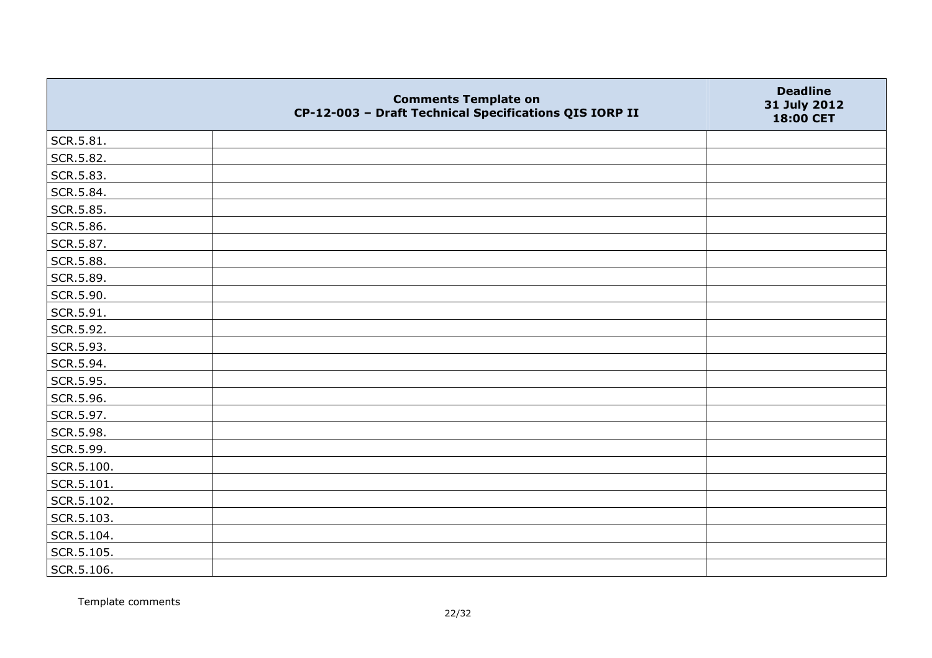|            | <b>Comments Template on</b><br>CP-12-003 - Draft Technical Specifications QIS IORP II | <b>Deadline</b><br>31 July 2012<br>18:00 CET |
|------------|---------------------------------------------------------------------------------------|----------------------------------------------|
| SCR.5.81.  |                                                                                       |                                              |
| SCR.5.82.  |                                                                                       |                                              |
| SCR.5.83.  |                                                                                       |                                              |
| SCR.5.84.  |                                                                                       |                                              |
| SCR.5.85.  |                                                                                       |                                              |
| SCR.5.86.  |                                                                                       |                                              |
| SCR.5.87.  |                                                                                       |                                              |
| SCR.5.88.  |                                                                                       |                                              |
| SCR.5.89.  |                                                                                       |                                              |
| SCR.5.90.  |                                                                                       |                                              |
| SCR.5.91.  |                                                                                       |                                              |
| SCR.5.92.  |                                                                                       |                                              |
| SCR.5.93.  |                                                                                       |                                              |
| SCR.5.94.  |                                                                                       |                                              |
| SCR.5.95.  |                                                                                       |                                              |
| SCR.5.96.  |                                                                                       |                                              |
| SCR.5.97.  |                                                                                       |                                              |
| SCR.5.98.  |                                                                                       |                                              |
| SCR.5.99.  |                                                                                       |                                              |
| SCR.5.100. |                                                                                       |                                              |
| SCR.5.101. |                                                                                       |                                              |
| SCR.5.102. |                                                                                       |                                              |
| SCR.5.103. |                                                                                       |                                              |
| SCR.5.104. |                                                                                       |                                              |
| SCR.5.105. |                                                                                       |                                              |
| SCR.5.106. |                                                                                       |                                              |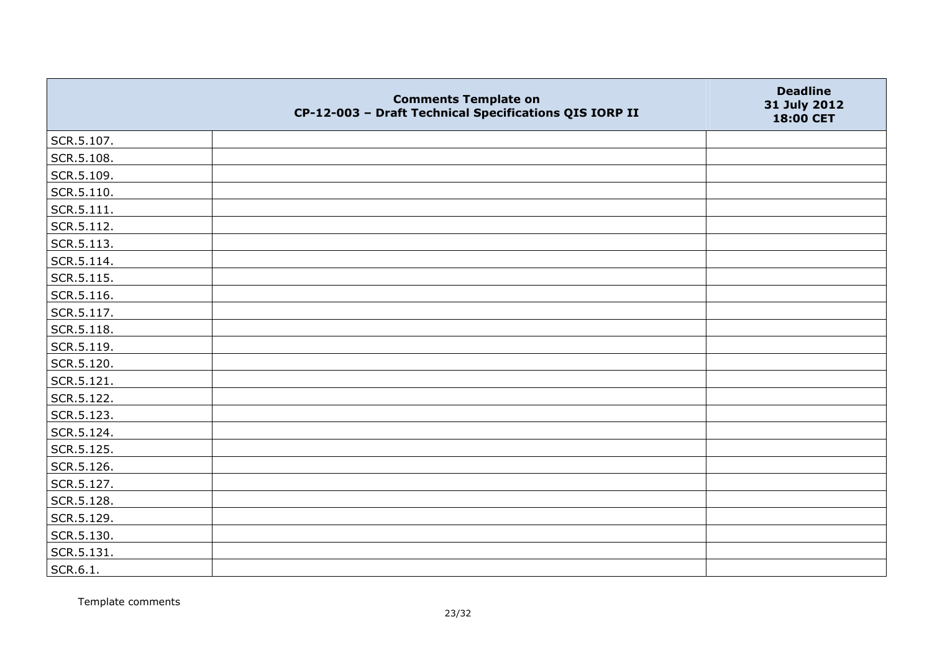|                    | <b>Comments Template on</b><br>CP-12-003 - Draft Technical Specifications QIS IORP II | <b>Deadline</b><br>31 July 2012<br>18:00 CET |
|--------------------|---------------------------------------------------------------------------------------|----------------------------------------------|
| SCR.5.107.         |                                                                                       |                                              |
| SCR.5.108.         |                                                                                       |                                              |
| SCR.5.109.         |                                                                                       |                                              |
| $\vert$ SCR.5.110. |                                                                                       |                                              |
| SCR.5.111.         |                                                                                       |                                              |
| SCR.5.112.         |                                                                                       |                                              |
| SCR.5.113.         |                                                                                       |                                              |
| SCR.5.114.         |                                                                                       |                                              |
| SCR.5.115.         |                                                                                       |                                              |
| SCR.5.116.         |                                                                                       |                                              |
| SCR.5.117.         |                                                                                       |                                              |
| SCR.5.118.         |                                                                                       |                                              |
| SCR.5.119.         |                                                                                       |                                              |
| SCR.5.120.         |                                                                                       |                                              |
| SCR.5.121.         |                                                                                       |                                              |
| SCR.5.122.         |                                                                                       |                                              |
| SCR.5.123.         |                                                                                       |                                              |
| SCR.5.124.         |                                                                                       |                                              |
| SCR.5.125.         |                                                                                       |                                              |
| SCR.5.126.         |                                                                                       |                                              |
| SCR.5.127.         |                                                                                       |                                              |
| SCR.5.128.         |                                                                                       |                                              |
| SCR.5.129.         |                                                                                       |                                              |
| SCR.5.130.         |                                                                                       |                                              |
| SCR.5.131.         |                                                                                       |                                              |
| SCR.6.1.           |                                                                                       |                                              |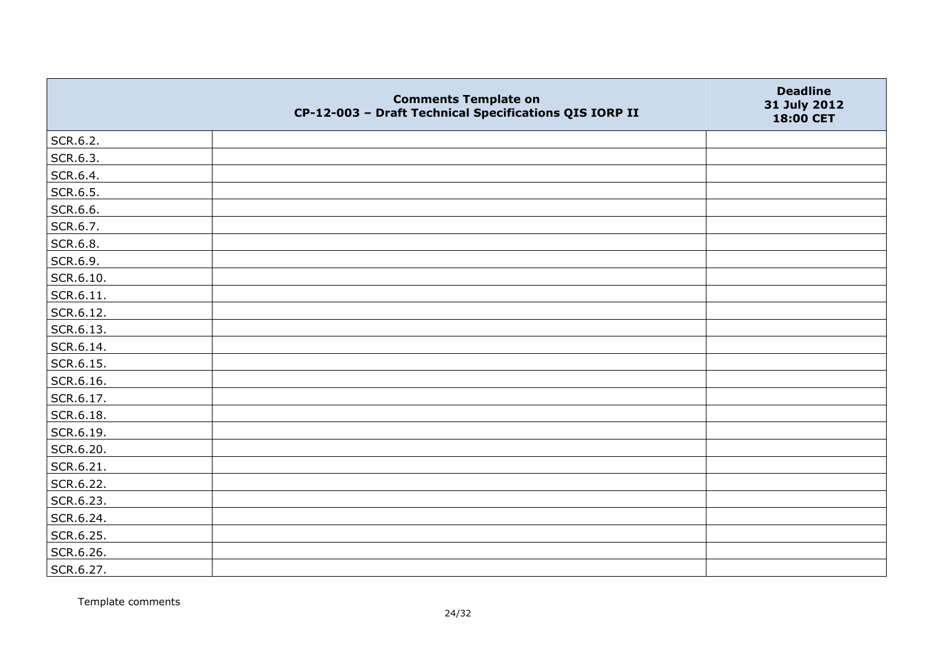|           | <b>Comments Template on</b><br>CP-12-003 - Draft Technical Specifications QIS IORP II | <b>Deadline</b><br>31 July 2012<br>18:00 CET |
|-----------|---------------------------------------------------------------------------------------|----------------------------------------------|
| SCR.6.2.  |                                                                                       |                                              |
| SCR.6.3.  |                                                                                       |                                              |
| SCR.6.4.  |                                                                                       |                                              |
| SCR.6.5.  |                                                                                       |                                              |
| SCR.6.6.  |                                                                                       |                                              |
| SCR.6.7.  |                                                                                       |                                              |
| SCR.6.8.  |                                                                                       |                                              |
| SCR.6.9.  |                                                                                       |                                              |
| SCR.6.10. |                                                                                       |                                              |
| SCR.6.11. |                                                                                       |                                              |
| SCR.6.12. |                                                                                       |                                              |
| SCR.6.13. |                                                                                       |                                              |
| SCR.6.14. |                                                                                       |                                              |
| SCR.6.15. |                                                                                       |                                              |
| SCR.6.16. |                                                                                       |                                              |
| SCR.6.17. |                                                                                       |                                              |
| SCR.6.18. |                                                                                       |                                              |
| SCR.6.19. |                                                                                       |                                              |
| SCR.6.20. |                                                                                       |                                              |
| SCR.6.21. |                                                                                       |                                              |
| SCR.6.22. |                                                                                       |                                              |
| SCR.6.23. |                                                                                       |                                              |
| SCR.6.24. |                                                                                       |                                              |
| SCR.6.25. |                                                                                       |                                              |
| SCR.6.26. |                                                                                       |                                              |
| SCR.6.27. |                                                                                       |                                              |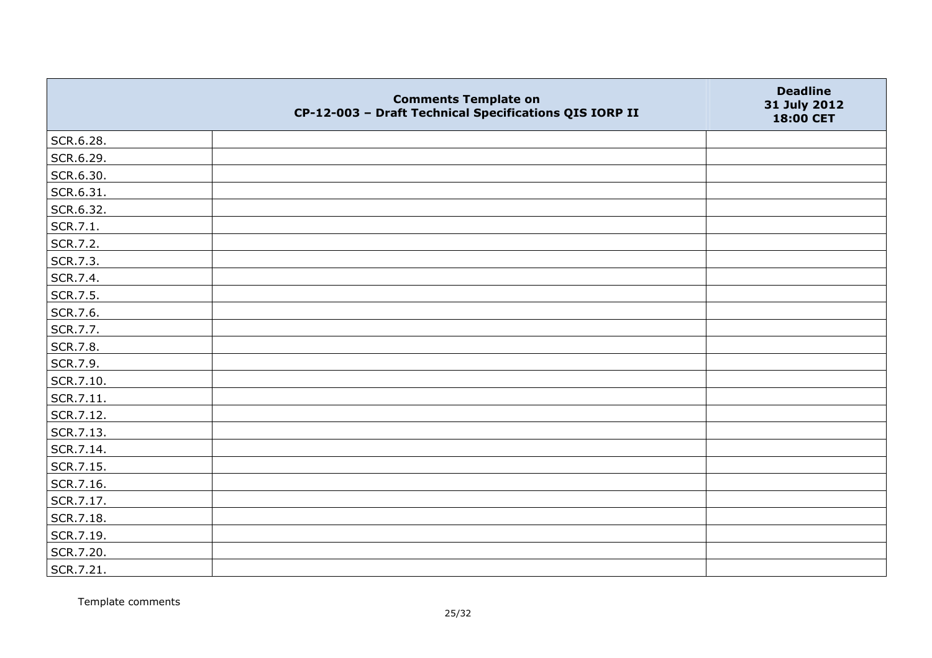|           | <b>Comments Template on</b><br>CP-12-003 - Draft Technical Specifications QIS IORP II | <b>Deadline</b><br>31 July 2012<br>18:00 CET |
|-----------|---------------------------------------------------------------------------------------|----------------------------------------------|
| SCR.6.28. |                                                                                       |                                              |
| SCR.6.29. |                                                                                       |                                              |
| SCR.6.30. |                                                                                       |                                              |
| SCR.6.31. |                                                                                       |                                              |
| SCR.6.32. |                                                                                       |                                              |
| SCR.7.1.  |                                                                                       |                                              |
| SCR.7.2.  |                                                                                       |                                              |
| SCR.7.3.  |                                                                                       |                                              |
| SCR.7.4.  |                                                                                       |                                              |
| SCR.7.5.  |                                                                                       |                                              |
| SCR.7.6.  |                                                                                       |                                              |
| SCR.7.7.  |                                                                                       |                                              |
| SCR.7.8.  |                                                                                       |                                              |
| SCR.7.9.  |                                                                                       |                                              |
| SCR.7.10. |                                                                                       |                                              |
| SCR.7.11. |                                                                                       |                                              |
| SCR.7.12. |                                                                                       |                                              |
| SCR.7.13. |                                                                                       |                                              |
| SCR.7.14. |                                                                                       |                                              |
| SCR.7.15. |                                                                                       |                                              |
| SCR.7.16. |                                                                                       |                                              |
| SCR.7.17. |                                                                                       |                                              |
| SCR.7.18. |                                                                                       |                                              |
| SCR.7.19. |                                                                                       |                                              |
| SCR.7.20. |                                                                                       |                                              |
| SCR.7.21. |                                                                                       |                                              |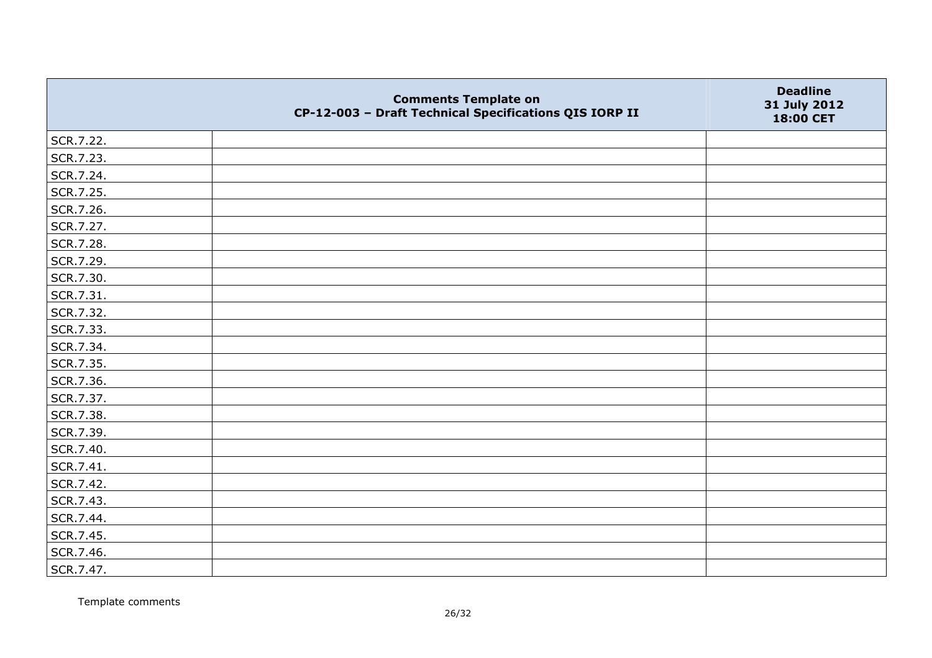|           | <b>Comments Template on</b><br>CP-12-003 - Draft Technical Specifications QIS IORP II | <b>Deadline</b><br>31 July 2012<br>18:00 CET |
|-----------|---------------------------------------------------------------------------------------|----------------------------------------------|
| SCR.7.22. |                                                                                       |                                              |
| SCR.7.23. |                                                                                       |                                              |
| SCR.7.24. |                                                                                       |                                              |
| SCR.7.25. |                                                                                       |                                              |
| SCR.7.26. |                                                                                       |                                              |
| SCR.7.27. |                                                                                       |                                              |
| SCR.7.28. |                                                                                       |                                              |
| SCR.7.29. |                                                                                       |                                              |
| SCR.7.30. |                                                                                       |                                              |
| SCR.7.31. |                                                                                       |                                              |
| SCR.7.32. |                                                                                       |                                              |
| SCR.7.33. |                                                                                       |                                              |
| SCR.7.34. |                                                                                       |                                              |
| SCR.7.35. |                                                                                       |                                              |
| SCR.7.36. |                                                                                       |                                              |
| SCR.7.37. |                                                                                       |                                              |
| SCR.7.38. |                                                                                       |                                              |
| SCR.7.39. |                                                                                       |                                              |
| SCR.7.40. |                                                                                       |                                              |
| SCR.7.41. |                                                                                       |                                              |
| SCR.7.42. |                                                                                       |                                              |
| SCR.7.43. |                                                                                       |                                              |
| SCR.7.44. |                                                                                       |                                              |
| SCR.7.45. |                                                                                       |                                              |
| SCR.7.46. |                                                                                       |                                              |
| SCR.7.47. |                                                                                       |                                              |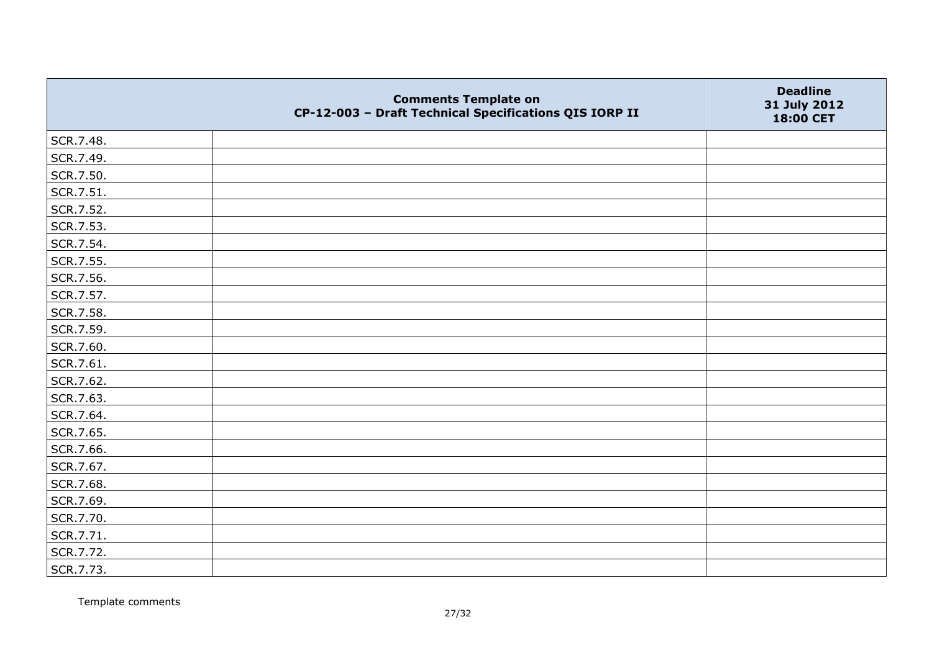|           | <b>Comments Template on</b><br>CP-12-003 - Draft Technical Specifications QIS IORP II | <b>Deadline</b><br>31 July 2012<br>18:00 CET |
|-----------|---------------------------------------------------------------------------------------|----------------------------------------------|
| SCR.7.48. |                                                                                       |                                              |
| SCR.7.49. |                                                                                       |                                              |
| SCR.7.50. |                                                                                       |                                              |
| SCR.7.51. |                                                                                       |                                              |
| SCR.7.52. |                                                                                       |                                              |
| SCR.7.53. |                                                                                       |                                              |
| SCR.7.54. |                                                                                       |                                              |
| SCR.7.55. |                                                                                       |                                              |
| SCR.7.56. |                                                                                       |                                              |
| SCR.7.57. |                                                                                       |                                              |
| SCR.7.58. |                                                                                       |                                              |
| SCR.7.59. |                                                                                       |                                              |
| SCR.7.60. |                                                                                       |                                              |
| SCR.7.61. |                                                                                       |                                              |
| SCR.7.62. |                                                                                       |                                              |
| SCR.7.63. |                                                                                       |                                              |
| SCR.7.64. |                                                                                       |                                              |
| SCR.7.65. |                                                                                       |                                              |
| SCR.7.66. |                                                                                       |                                              |
| SCR.7.67. |                                                                                       |                                              |
| SCR.7.68. |                                                                                       |                                              |
| SCR.7.69. |                                                                                       |                                              |
| SCR.7.70. |                                                                                       |                                              |
| SCR.7.71. |                                                                                       |                                              |
| SCR.7.72. |                                                                                       |                                              |
| SCR.7.73. |                                                                                       |                                              |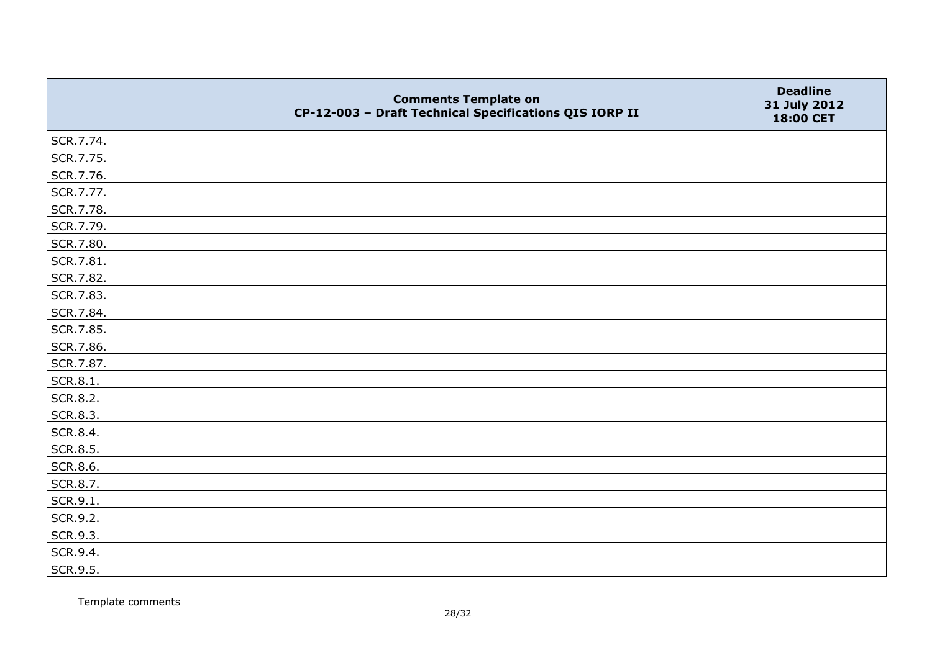|           | <b>Comments Template on</b><br>CP-12-003 - Draft Technical Specifications QIS IORP II | <b>Deadline</b><br>31 July 2012<br>18:00 CET |
|-----------|---------------------------------------------------------------------------------------|----------------------------------------------|
| SCR.7.74. |                                                                                       |                                              |
| SCR.7.75. |                                                                                       |                                              |
| SCR.7.76. |                                                                                       |                                              |
| SCR.7.77. |                                                                                       |                                              |
| SCR.7.78. |                                                                                       |                                              |
| SCR.7.79. |                                                                                       |                                              |
| SCR.7.80. |                                                                                       |                                              |
| SCR.7.81. |                                                                                       |                                              |
| SCR.7.82. |                                                                                       |                                              |
| SCR.7.83. |                                                                                       |                                              |
| SCR.7.84. |                                                                                       |                                              |
| SCR.7.85. |                                                                                       |                                              |
| SCR.7.86. |                                                                                       |                                              |
| SCR.7.87. |                                                                                       |                                              |
| SCR.8.1.  |                                                                                       |                                              |
| SCR.8.2.  |                                                                                       |                                              |
| SCR.8.3.  |                                                                                       |                                              |
| SCR.8.4.  |                                                                                       |                                              |
| SCR.8.5.  |                                                                                       |                                              |
| SCR.8.6.  |                                                                                       |                                              |
| SCR.8.7.  |                                                                                       |                                              |
| SCR.9.1.  |                                                                                       |                                              |
| SCR.9.2.  |                                                                                       |                                              |
| SCR.9.3.  |                                                                                       |                                              |
| SCR.9.4.  |                                                                                       |                                              |
| SCR.9.5.  |                                                                                       |                                              |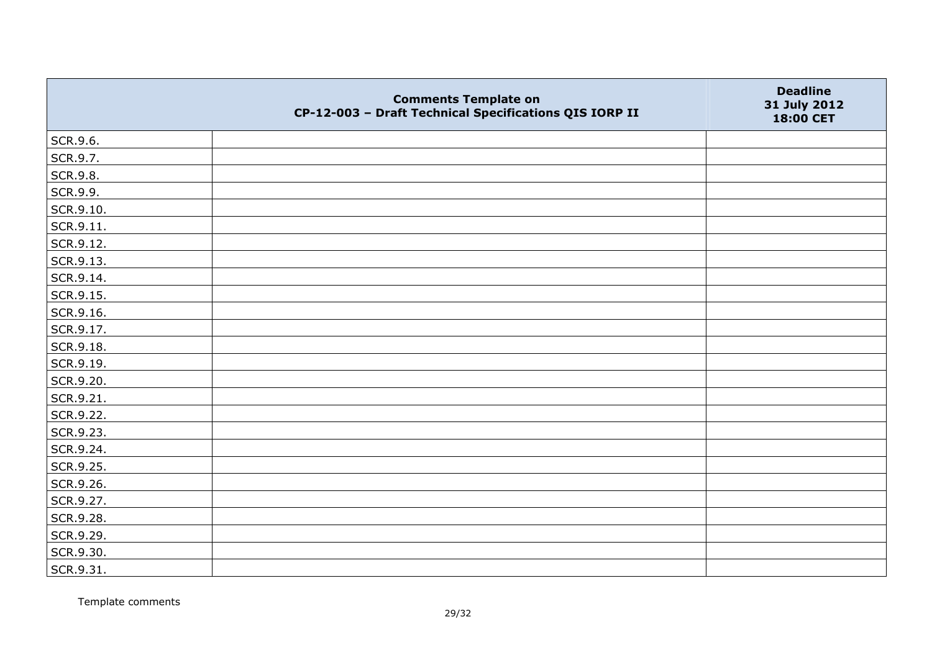|                   | <b>Comments Template on</b><br>CP-12-003 - Draft Technical Specifications QIS IORP II | <b>Deadline</b><br>31 July 2012<br>18:00 CET |
|-------------------|---------------------------------------------------------------------------------------|----------------------------------------------|
| SCR.9.6.          |                                                                                       |                                              |
| SCR.9.7.          |                                                                                       |                                              |
| SCR.9.8.          |                                                                                       |                                              |
| SCR.9.9.          |                                                                                       |                                              |
| SCR.9.10.         |                                                                                       |                                              |
| $\vert$ SCR.9.11. |                                                                                       |                                              |
| SCR.9.12.         |                                                                                       |                                              |
| SCR.9.13.         |                                                                                       |                                              |
| SCR.9.14.         |                                                                                       |                                              |
| SCR.9.15.         |                                                                                       |                                              |
| SCR.9.16.         |                                                                                       |                                              |
| SCR.9.17.         |                                                                                       |                                              |
| SCR.9.18.         |                                                                                       |                                              |
| SCR.9.19.         |                                                                                       |                                              |
| SCR.9.20.         |                                                                                       |                                              |
| SCR.9.21.         |                                                                                       |                                              |
| SCR.9.22.         |                                                                                       |                                              |
| SCR.9.23.         |                                                                                       |                                              |
| SCR.9.24.         |                                                                                       |                                              |
| SCR.9.25.         |                                                                                       |                                              |
| SCR.9.26.         |                                                                                       |                                              |
| SCR.9.27.         |                                                                                       |                                              |
| SCR.9.28.         |                                                                                       |                                              |
| SCR.9.29.         |                                                                                       |                                              |
| SCR.9.30.         |                                                                                       |                                              |
| SCR.9.31.         |                                                                                       |                                              |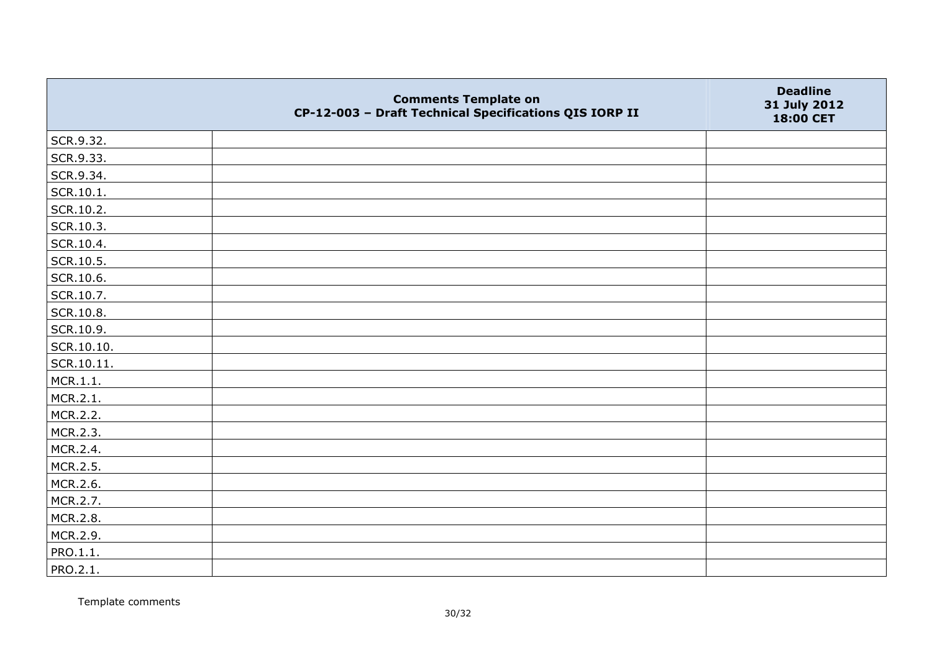|            | <b>Comments Template on</b><br>CP-12-003 - Draft Technical Specifications QIS IORP II | <b>Deadline</b><br>31 July 2012<br>18:00 CET |
|------------|---------------------------------------------------------------------------------------|----------------------------------------------|
| SCR.9.32.  |                                                                                       |                                              |
| SCR.9.33.  |                                                                                       |                                              |
| SCR.9.34.  |                                                                                       |                                              |
| SCR.10.1.  |                                                                                       |                                              |
| SCR.10.2.  |                                                                                       |                                              |
| SCR.10.3.  |                                                                                       |                                              |
| SCR.10.4.  |                                                                                       |                                              |
| SCR.10.5.  |                                                                                       |                                              |
| SCR.10.6.  |                                                                                       |                                              |
| SCR.10.7.  |                                                                                       |                                              |
| SCR.10.8.  |                                                                                       |                                              |
| SCR.10.9.  |                                                                                       |                                              |
| SCR.10.10. |                                                                                       |                                              |
| SCR.10.11. |                                                                                       |                                              |
| MCR.1.1.   |                                                                                       |                                              |
| MCR.2.1.   |                                                                                       |                                              |
| MCR.2.2.   |                                                                                       |                                              |
| MCR.2.3.   |                                                                                       |                                              |
| MCR.2.4.   |                                                                                       |                                              |
| MCR.2.5.   |                                                                                       |                                              |
| MCR.2.6.   |                                                                                       |                                              |
| MCR.2.7.   |                                                                                       |                                              |
| MCR.2.8.   |                                                                                       |                                              |
| MCR.2.9.   |                                                                                       |                                              |
| PRO.1.1.   |                                                                                       |                                              |
| PRO.2.1.   |                                                                                       |                                              |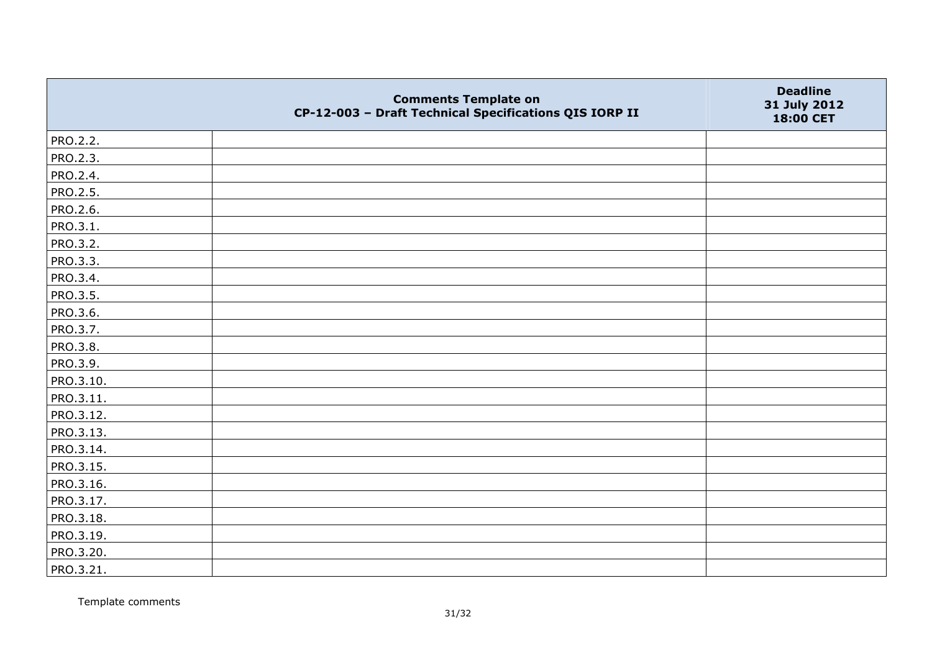|                 | <b>Comments Template on</b><br>CP-12-003 - Draft Technical Specifications QIS IORP II | <b>Deadline</b><br>31 July 2012<br>18:00 CET |
|-----------------|---------------------------------------------------------------------------------------|----------------------------------------------|
| PRO.2.2.        |                                                                                       |                                              |
| PRO.2.3.        |                                                                                       |                                              |
| PRO.2.4.        |                                                                                       |                                              |
| PRO.2.5.        |                                                                                       |                                              |
| PRO.2.6.        |                                                                                       |                                              |
| PRO.3.1.        |                                                                                       |                                              |
| PRO.3.2.        |                                                                                       |                                              |
| PRO.3.3.        |                                                                                       |                                              |
| PRO.3.4.        |                                                                                       |                                              |
| <b>PRO.3.5.</b> |                                                                                       |                                              |
| PRO.3.6.        |                                                                                       |                                              |
| PRO.3.7.        |                                                                                       |                                              |
| PRO.3.8.        |                                                                                       |                                              |
| PRO.3.9.        |                                                                                       |                                              |
| PRO.3.10.       |                                                                                       |                                              |
| PRO.3.11.       |                                                                                       |                                              |
| PRO.3.12.       |                                                                                       |                                              |
| PRO.3.13.       |                                                                                       |                                              |
| PRO.3.14.       |                                                                                       |                                              |
| PRO.3.15.       |                                                                                       |                                              |
| PRO.3.16.       |                                                                                       |                                              |
| PRO.3.17.       |                                                                                       |                                              |
| PRO.3.18.       |                                                                                       |                                              |
| PRO.3.19.       |                                                                                       |                                              |
| PRO.3.20.       |                                                                                       |                                              |
| PRO.3.21.       |                                                                                       |                                              |